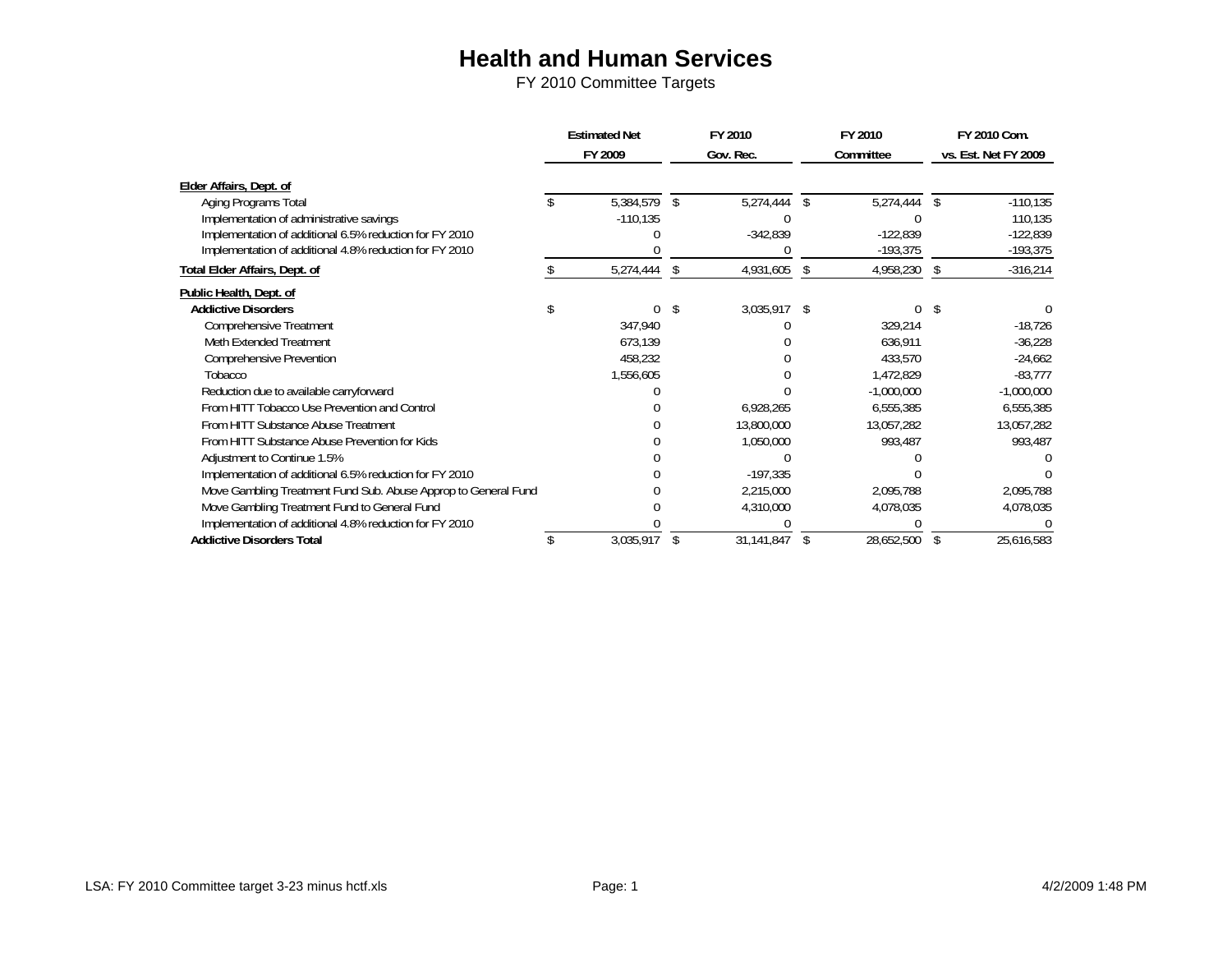|                                                                | <b>Estimated Net</b>   | FY 2010 |            | FY 2010 |              |                    | FY 2010 Com.         |
|----------------------------------------------------------------|------------------------|---------|------------|---------|--------------|--------------------|----------------------|
|                                                                | FY 2009                |         | Gov. Rec.  |         | Committee    |                    | vs. Est. Net FY 2009 |
| Elder Affairs, Dept. of                                        |                        |         |            |         |              |                    |                      |
| Aging Programs Total                                           | $\overline{5,384},579$ | -S      | 5,274,444  | \$      | 5,274,444    | $\mathbf{\hat{s}}$ | $-110, 135$          |
| Implementation of administrative savings                       | $-110,135$             |         |            |         |              |                    | 110,135              |
| Implementation of additional 6.5% reduction for FY 2010        |                        |         | $-342,839$ |         | $-122,839$   |                    | $-122,839$           |
| Implementation of additional 4.8% reduction for FY 2010        |                        |         |            |         | $-193,375$   |                    | -193,375             |
| Total Elder Affairs, Dept. of                                  | 5,274,444              | S       | 4,931,605  | \$      | 4,958,230    | Ŝ.                 | $-316,214$           |
| Public Health, Dept. of                                        |                        |         |            |         |              |                    |                      |
| <b>Addictive Disorders</b>                                     |                        | S       | 3,035,917  | -S      |              |                    |                      |
| Comprehensive Treatment                                        | 347,940                |         |            |         | 329,214      |                    | $-18,726$            |
| Meth Extended Treatment                                        | 673,139                |         |            |         | 636,911      |                    | $-36,228$            |
| <b>Comprehensive Prevention</b>                                | 458,232                |         |            |         | 433,570      |                    | $-24,662$            |
| Tobacco                                                        | 1,556,605              |         |            |         | 1,472,829    |                    | $-83,777$            |
| Reduction due to available carryforward                        |                        |         |            |         | $-1,000,000$ |                    | $-1,000,000$         |
| From HITT Tobacco Use Prevention and Control                   |                        |         | 6,928,265  |         | 6,555,385    |                    | 6,555,385            |
| From HITT Substance Abuse Treatment                            |                        |         | 13,800,000 |         | 13,057,282   |                    | 13,057,282           |
| From HITT Substance Abuse Prevention for Kids                  |                        |         | 1,050,000  |         | 993,487      |                    | 993,487              |
| Adjustment to Continue 1.5%                                    |                        |         |            |         |              |                    |                      |
| Implementation of additional 6.5% reduction for FY 2010        |                        |         | $-197,335$ |         |              |                    |                      |
| Move Gambling Treatment Fund Sub. Abuse Approp to General Fund |                        |         | 2,215,000  |         | 2,095,788    |                    | 2,095,788            |
| Move Gambling Treatment Fund to General Fund                   |                        |         | 4,310,000  |         | 4,078,035    |                    | 4,078,035            |
| Implementation of additional 4.8% reduction for FY 2010        |                        |         |            |         |              |                    |                      |
| <b>Addictive Disorders Total</b>                               | 3,035,917              | \$      | 31,141,847 | \$      | 28,652,500   | \$                 | 25,616,583           |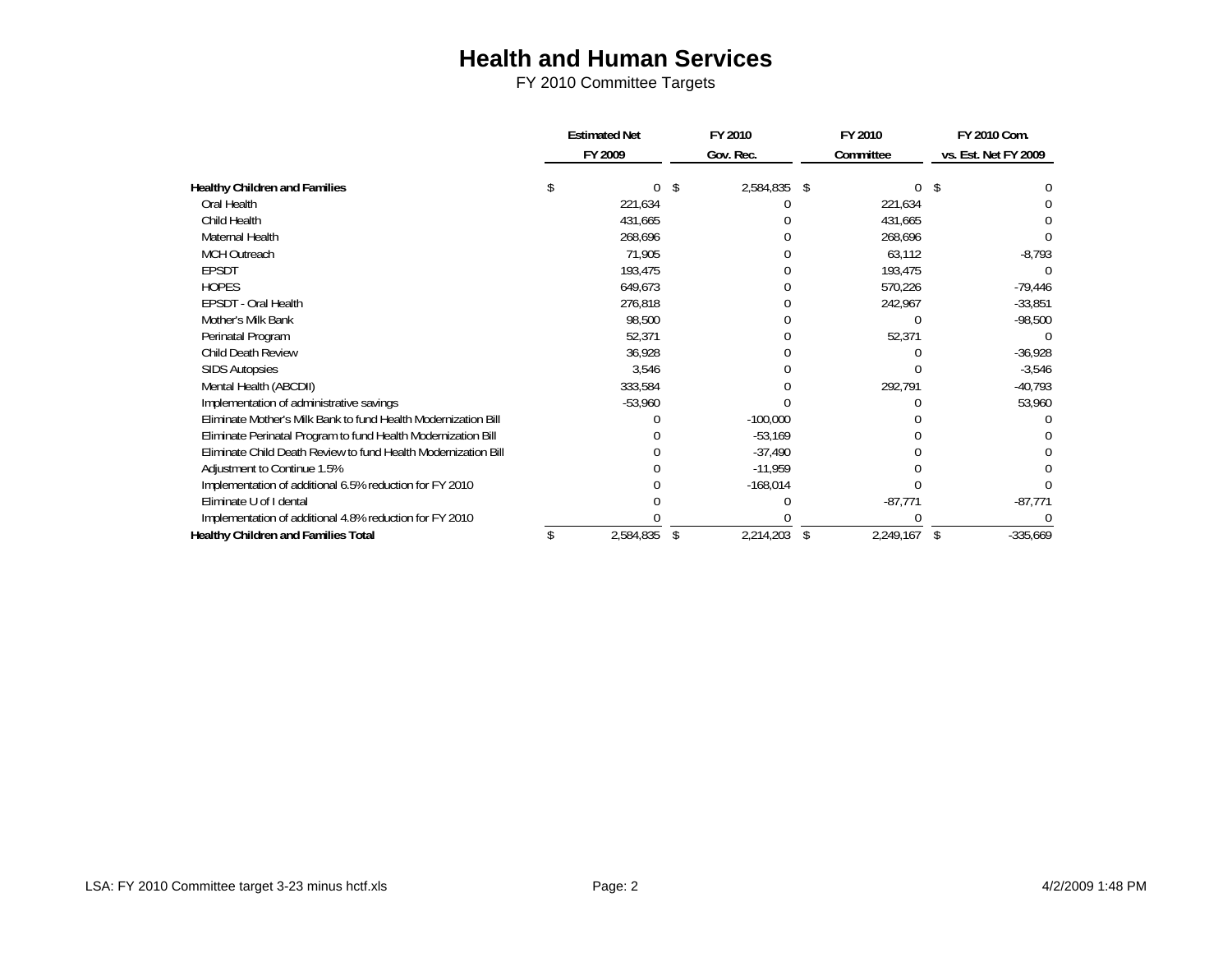|                                                                | <b>Estimated Net</b> |           |    | FY 2010      |    | FY 2010   |   | FY 2010 Com.         |
|----------------------------------------------------------------|----------------------|-----------|----|--------------|----|-----------|---|----------------------|
|                                                                |                      | FY 2009   |    | Gov. Rec.    |    | Committee |   | vs. Est. Net FY 2009 |
| <b>Healthy Children and Families</b>                           |                      | 0         | -S | 2,584,835 \$ |    |           |   |                      |
| Oral Health                                                    |                      | 221,634   |    |              |    | 221,634   |   |                      |
| Child Health                                                   |                      | 431,665   |    |              |    | 431,665   |   |                      |
| Maternal Health                                                |                      | 268,696   |    |              |    | 268,696   |   |                      |
| <b>MCH Outreach</b>                                            |                      | 71,905    |    |              |    | 63,112    |   | $-8,793$             |
| <b>EPSDT</b>                                                   |                      | 193,475   |    |              |    | 193,475   |   |                      |
| <b>HOPES</b>                                                   |                      | 649,673   |    |              |    | 570,226   |   | $-79,446$            |
| EPSDT - Oral Health                                            |                      | 276,818   |    |              |    | 242,967   |   | $-33,851$            |
| Mother's Milk Bank                                             |                      | 98,500    |    |              |    |           |   | $-98,500$            |
| Perinatal Program                                              |                      | 52,371    |    |              |    | 52,371    |   |                      |
| Child Death Review                                             |                      | 36,928    |    |              |    |           |   | $-36,928$            |
| <b>SIDS Autopsies</b>                                          |                      | 3,546     |    |              |    |           |   | $-3,546$             |
| Mental Health (ABCDII)                                         |                      | 333,584   |    |              |    | 292,791   |   | $-40,793$            |
| Implementation of administrative savings                       |                      | $-53,960$ |    |              |    |           |   | 53,960               |
| Eliminate Mother's Milk Bank to fund Health Modernization Bill |                      |           |    | $-100,000$   |    |           |   |                      |
| Eliminate Perinatal Program to fund Health Modernization Bill  |                      |           |    | $-53,169$    |    |           |   |                      |
| Eliminate Child Death Review to fund Health Modernization Bill |                      |           |    | $-37,490$    |    |           |   |                      |
| Adjustment to Continue 1.5%                                    |                      |           |    | $-11,959$    |    |           |   |                      |
| Implementation of additional 6.5% reduction for FY 2010        |                      |           |    | $-168,014$   |    |           |   |                      |
| Eliminate U of I dental                                        |                      |           |    |              |    | $-87,771$ |   | $-87,771$            |
| Implementation of additional 4.8% reduction for FY 2010        |                      |           |    |              |    |           |   |                      |
| <b>Healthy Children and Families Total</b>                     |                      | 2,584,835 | \$ | 2,214,203    | \$ | 2,249,167 | S | $-335,669$           |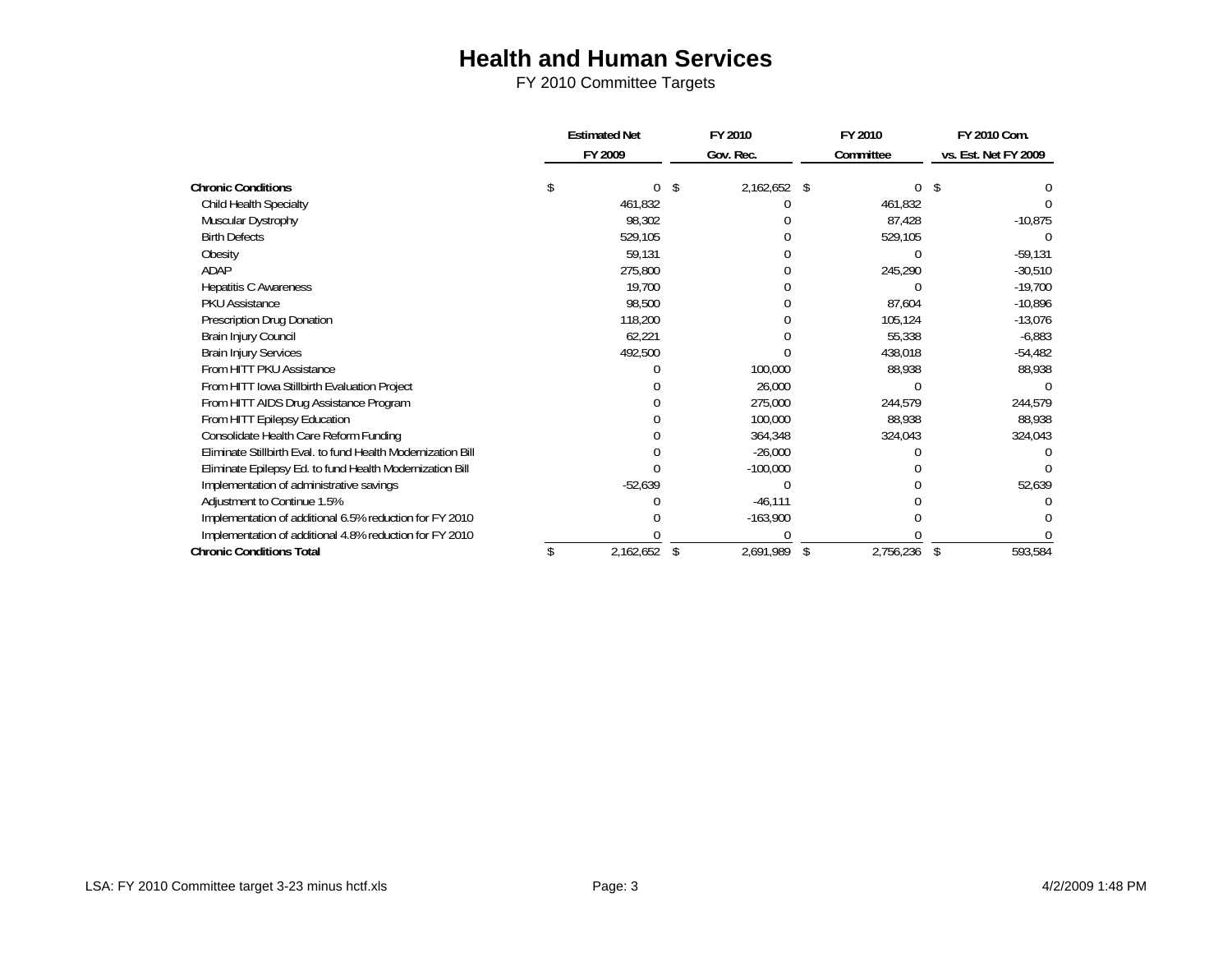|                                                              | <b>Estimated Net</b> |           | FY 2010         |           | FY 2010   | FY 2010 Com.         |
|--------------------------------------------------------------|----------------------|-----------|-----------------|-----------|-----------|----------------------|
|                                                              |                      | FY 2009   | Gov. Rec.       | Committee |           | vs. Est. Net FY 2009 |
| <b>Chronic Conditions</b>                                    |                      | 0         | \$<br>2,162,652 | \$        |           |                      |
| <b>Child Health Specialty</b>                                |                      | 461,832   |                 |           | 461,832   |                      |
| Muscular Dystrophy                                           |                      | 98,302    |                 |           | 87,428    | $-10,875$            |
| <b>Birth Defects</b>                                         |                      | 529,105   |                 |           | 529,105   |                      |
| Obesity                                                      |                      | 59,131    |                 |           |           | $-59,131$            |
| ADAP                                                         |                      | 275,800   |                 |           | 245,290   | $-30,510$            |
| <b>Hepatitis C Awareness</b>                                 |                      | 19,700    |                 |           |           | $-19,700$            |
| <b>PKU Assistance</b>                                        |                      | 98,500    |                 |           | 87,604    | $-10,896$            |
| Prescription Drug Donation                                   |                      | 118,200   |                 |           | 105,124   | $-13,076$            |
| Brain Injury Council                                         |                      | 62,221    |                 |           | 55,338    | $-6,883$             |
| <b>Brain Injury Services</b>                                 |                      | 492,500   |                 |           | 438,018   | $-54,482$            |
| From HITT PKU Assistance                                     |                      |           | 100,000         |           | 88,938    | 88,938               |
| From HITT Iowa Stillbirth Evaluation Project                 |                      |           | 26,000          |           |           |                      |
| From HITT AIDS Drug Assistance Program                       |                      |           | 275,000         |           | 244,579   | 244,579              |
| From HITT Epilepsy Education                                 |                      |           | 100,000         |           | 88,938    | 88,938               |
| Consolidate Health Care Reform Funding                       |                      |           | 364,348         |           | 324,043   | 324,043              |
| Eliminate Stillbirth Eval. to fund Health Modernization Bill |                      |           | $-26,000$       |           |           |                      |
| Eliminate Epilepsy Ed. to fund Health Modernization Bill     |                      |           | $-100,000$      |           |           |                      |
| Implementation of administrative savings                     |                      | $-52,639$ |                 |           |           | 52,639               |
| Adjustment to Continue 1.5%                                  |                      |           | $-46,111$       |           |           |                      |
| Implementation of additional 6.5% reduction for FY 2010      |                      |           | $-163,900$      |           |           |                      |
| Implementation of additional 4.8% reduction for FY 2010      |                      |           |                 |           |           |                      |
| <b>Chronic Conditions Total</b>                              |                      | 2,162,652 | \$<br>2,691,989 | \$        | 2,756,236 | \$<br>593,584        |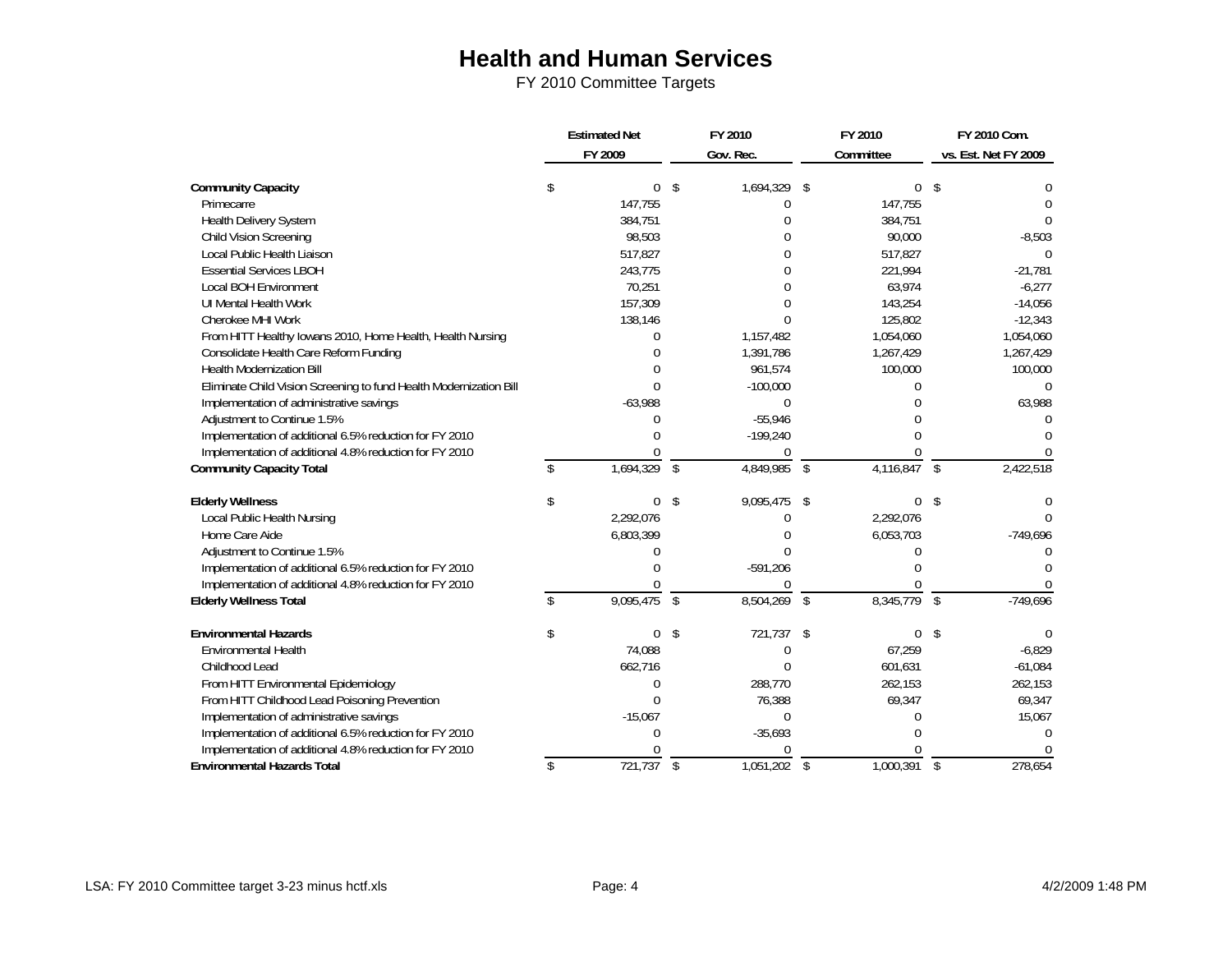|                                                                    | <b>Estimated Net</b> |             |               | FY 2010      | FY 2010 |           | FY 2010 Com.  |                      |
|--------------------------------------------------------------------|----------------------|-------------|---------------|--------------|---------|-----------|---------------|----------------------|
|                                                                    |                      | FY 2009     |               | Gov. Rec.    |         | Committee |               | vs. Est. Net FY 2009 |
| <b>Community Capacity</b>                                          | \$                   | $\mathbf 0$ | \$            | 1,694,329    | \$      | $\Omega$  | Ŝ.            |                      |
| Primecarre                                                         |                      | 147,755     |               | 0            |         | 147,755   |               | 0                    |
| Health Delivery System                                             |                      | 384,751     |               | በ            |         | 384,751   |               | 0                    |
| <b>Child Vision Screening</b>                                      |                      | 98,503      |               |              |         | 90,000    |               | $-8,503$             |
| Local Public Health Liaison                                        |                      | 517,827     |               | በ            |         | 517,827   |               |                      |
| <b>Essential Services LBOH</b>                                     |                      | 243,775     |               | በ            |         | 221,994   |               | $-21,781$            |
| <b>Local BOH Environment</b>                                       |                      | 70,251      |               | U            |         | 63,974    |               | $-6,277$             |
| UI Mental Health Work                                              |                      | 157,309     |               |              |         | 143,254   |               | $-14,056$            |
| Cherokee MHI Work                                                  |                      | 138,146     |               | N            |         | 125,802   |               | $-12,343$            |
| From HITT Healthy Iowans 2010, Home Health, Health Nursing         |                      | 0           |               | 1,157,482    |         | 1,054,060 |               | 1,054,060            |
| Consolidate Health Care Reform Funding                             |                      |             |               | 1,391,786    |         | 1,267,429 |               | 1,267,429            |
| <b>Health Modernization Bill</b>                                   |                      | $\Omega$    |               | 961,574      |         | 100,000   |               | 100,000              |
| Eliminate Child Vision Screening to fund Health Modernization Bill |                      | $\Omega$    |               | $-100,000$   |         | 0         |               | 0                    |
| Implementation of administrative savings                           |                      | $-63,988$   |               | $\Omega$     |         | U         |               | 63,988               |
| Adjustment to Continue 1.5%                                        |                      | $\Omega$    |               | $-55,946$    |         | U         |               | <sup>0</sup>         |
| Implementation of additional 6.5% reduction for FY 2010            |                      |             |               | $-199,240$   |         |           |               |                      |
| Implementation of additional 4.8% reduction for FY 2010            |                      |             |               | U            |         |           |               |                      |
| <b>Community Capacity Total</b>                                    | \$                   | 1,694,329   | $\sqrt{2}$    | 4,849,985    | \$      | 4,116,847 | -\$           | 2,422,518            |
| <b>Elderly Wellness</b>                                            | \$                   | 0           | \$            | 9,095,475    | \$      | $\Omega$  | Ŝ.            | 0                    |
| Local Public Health Nursing                                        |                      | 2,292,076   |               | 0            |         | 2,292,076 |               | $\Omega$             |
| Home Care Aide                                                     |                      | 6,803,399   |               |              |         | 6,053,703 |               | $-749,696$           |
| Adjustment to Continue 1.5%                                        |                      | U           |               | 0            |         | O         |               |                      |
| Implementation of additional 6.5% reduction for FY 2010            |                      |             |               | $-591,206$   |         | U         |               | U                    |
| Implementation of additional 4.8% reduction for FY 2010            |                      | $\Omega$    |               | U            |         |           |               |                      |
| <b>Elderly Wellness Total</b>                                      |                      | 9,095,475   | $\mathcal{L}$ | 8,504,269    | \$      | 8,345,779 | <sup>\$</sup> | $-749,696$           |
| <b>Environmental Hazards</b>                                       | \$                   | 0           | \$            | 721,737      | \$      | 0         | \$            | $\Omega$             |
| <b>Environmental Health</b>                                        |                      | 74,088      |               | 0            |         | 67,259    |               | $-6,829$             |
| Childhood Lead                                                     |                      | 662,716     |               | 0            |         | 601,631   |               | $-61,084$            |
| From HITT Environmental Epidemiology                               |                      | $\Omega$    |               | 288,770      |         | 262,153   |               | 262,153              |
| From HITT Childhood Lead Poisoning Prevention                      |                      | $\Omega$    |               | 76,388       |         | 69,347    |               | 69,347               |
| Implementation of administrative savings                           |                      | $-15,067$   |               | $\mathbf{0}$ |         | $\Omega$  |               | 15,067               |
| Implementation of additional 6.5% reduction for FY 2010            |                      | $\Omega$    |               | $-35,693$    |         | U         |               | $\Omega$             |
| Implementation of additional 4.8% reduction for FY 2010            |                      |             |               | U            |         |           |               |                      |
| <b>Environmental Hazards Total</b>                                 | \$                   | 721,737     | $\sqrt{2}$    | 1,051,202    | \$      | 1,000,391 | \$            | 278,654              |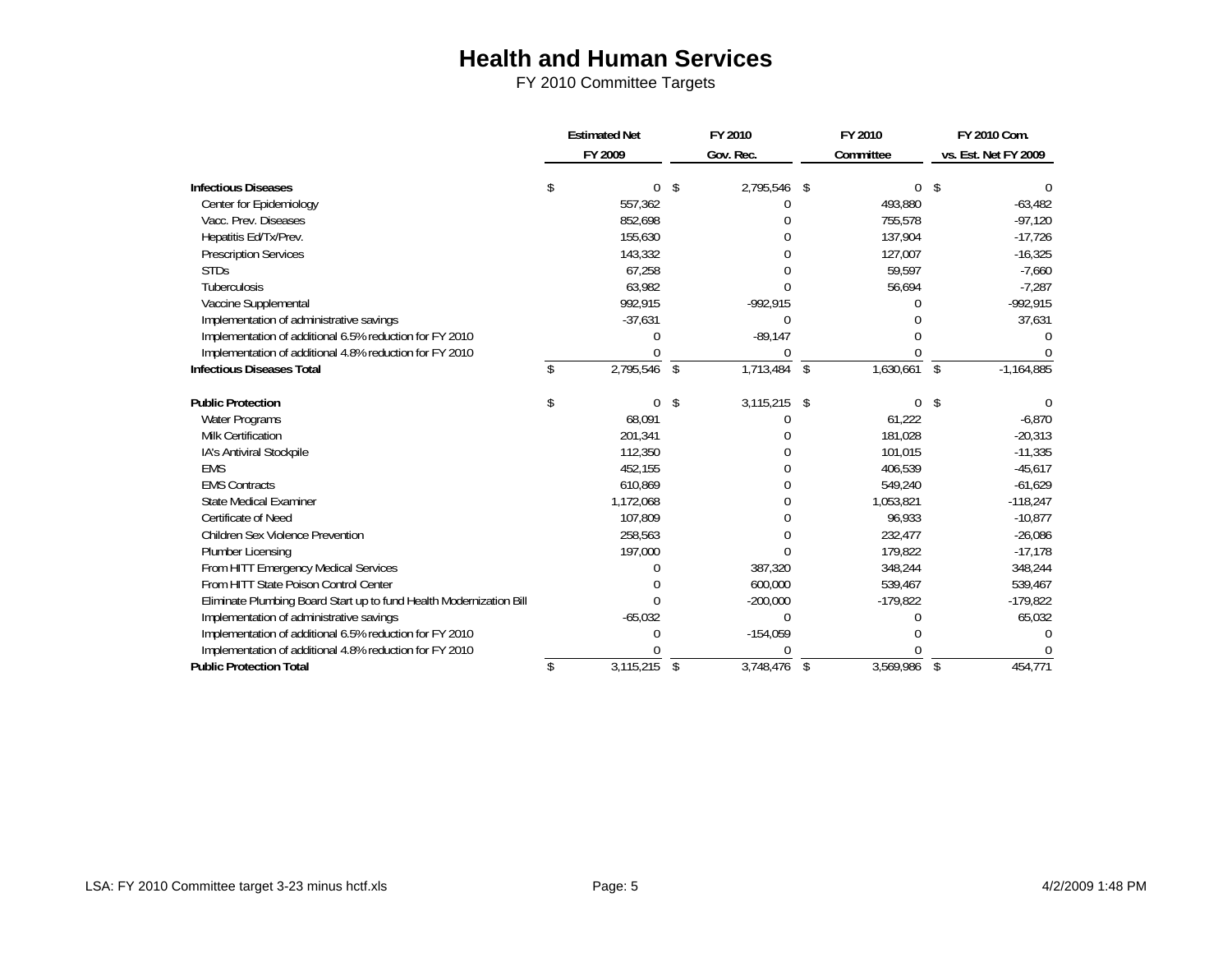|                                                                     | <b>Estimated Net</b> |           | FY 2010 |                | FY 2010 |            |                    | FY 2010 Com.         |  |
|---------------------------------------------------------------------|----------------------|-----------|---------|----------------|---------|------------|--------------------|----------------------|--|
|                                                                     |                      | FY 2009   |         | Gov. Rec.      |         | Committee  |                    | vs. Est. Net FY 2009 |  |
|                                                                     |                      |           |         |                |         |            |                    |                      |  |
| <b>Infectious Diseases</b>                                          | \$                   | 0         | \$      | 2,795,546      | -\$     | $\Omega$   | S                  |                      |  |
| Center for Epidemiology                                             |                      | 557,362   |         | 0              |         | 493,880    |                    | $-63,482$            |  |
| Vacc. Prev. Diseases                                                |                      | 852,698   |         |                |         | 755,578    |                    | $-97,120$            |  |
| Hepatitis Ed/Tx/Prev.                                               |                      | 155,630   |         |                |         | 137,904    |                    | $-17,726$            |  |
| <b>Prescription Services</b>                                        |                      | 143,332   |         |                |         | 127,007    |                    | $-16,325$            |  |
| <b>STDs</b>                                                         |                      | 67,258    |         |                |         | 59,597     |                    | $-7,660$             |  |
| Tuberculosis                                                        |                      | 63,982    |         |                |         | 56,694     |                    | $-7,287$             |  |
| Vaccine Supplemental                                                |                      | 992,915   |         | $-992,915$     |         |            |                    | $-992,915$           |  |
| Implementation of administrative savings                            |                      | $-37,631$ |         | $\Omega$       |         |            |                    | 37,631               |  |
| Implementation of additional 6.5% reduction for FY 2010             |                      | U         |         | $-89,147$      |         |            |                    |                      |  |
| Implementation of additional 4.8% reduction for FY 2010             |                      | $\Omega$  |         | 0              |         |            |                    |                      |  |
| <b>Infectious Diseases Total</b>                                    |                      | 2,795,546 | \$      | 1,713,484      | \$      | 1,630,661  | $\mathbf{\hat{S}}$ | $-1,164,885$         |  |
| <b>Public Protection</b>                                            | \$                   | $\Omega$  | \$      | $3,115,215$ \$ |         | 0          | S                  |                      |  |
| Water Programs                                                      |                      | 68.091    |         | N              |         | 61,222     |                    | $-6,870$             |  |
| <b>Milk Certification</b>                                           |                      | 201,341   |         |                |         | 181,028    |                    | $-20,313$            |  |
| IA's Antiviral Stockpile                                            |                      | 112,350   |         |                |         | 101,015    |                    | $-11,335$            |  |
| <b>EMS</b>                                                          |                      | 452,155   |         | N              |         | 406,539    |                    | $-45,617$            |  |
| <b>EMS Contracts</b>                                                |                      | 610,869   |         | N              |         | 549,240    |                    | $-61,629$            |  |
| <b>State Medical Examiner</b>                                       |                      | 1,172,068 |         | N              |         | 1,053,821  |                    | $-118,247$           |  |
| Certificate of Need                                                 |                      | 107,809   |         | U.             |         | 96,933     |                    | $-10,877$            |  |
| <b>Children Sex Violence Prevention</b>                             |                      | 258,563   |         |                |         | 232,477    |                    | $-26,086$            |  |
| <b>Plumber Licensing</b>                                            |                      | 197,000   |         | $\Omega$       |         | 179,822    |                    | $-17,178$            |  |
| From HITT Emergency Medical Services                                |                      |           |         | 387,320        |         | 348,244    |                    | 348,244              |  |
| From HITT State Poison Control Center                               |                      |           |         | 600,000        |         | 539,467    |                    | 539,467              |  |
| Eliminate Plumbing Board Start up to fund Health Modernization Bill |                      | $\Omega$  |         | $-200,000$     |         | $-179,822$ |                    | $-179,822$           |  |
| Implementation of administrative savings                            |                      | $-65,032$ |         | $\Omega$       |         |            |                    | 65,032               |  |
| Implementation of additional 6.5% reduction for FY 2010             |                      | C         |         | $-154,059$     |         |            |                    |                      |  |
| Implementation of additional 4.8% reduction for FY 2010             |                      |           |         |                |         |            |                    |                      |  |
| <b>Public Protection Total</b>                                      | \$                   | 3,115,215 | \$      | 3,748,476      | \$      | 3,569,986  | \$                 | 454,771              |  |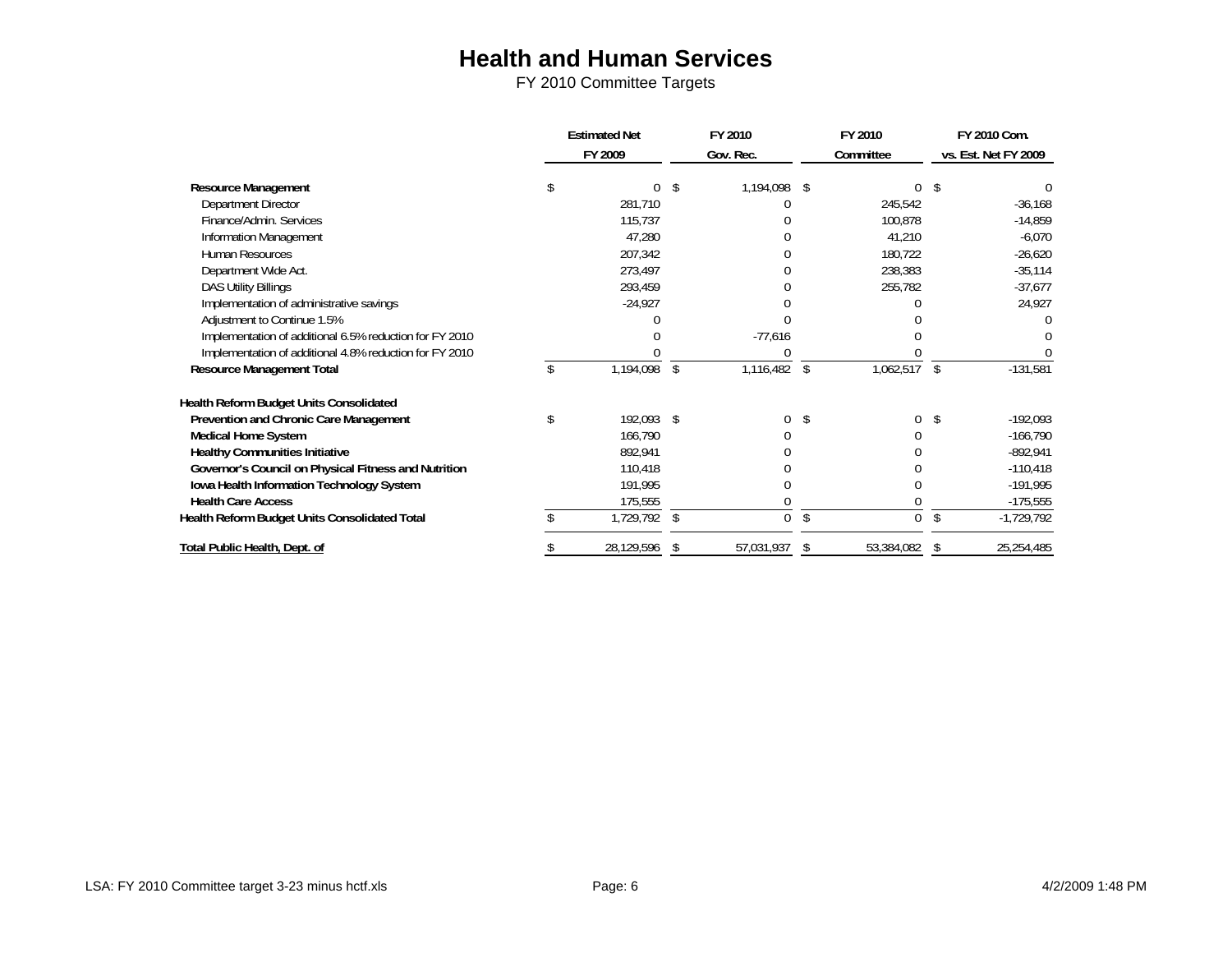|                                                         |    | <b>Estimated Net</b> |     | FY 2010    |    | FY 2010    | FY 2010 Com. |                      |
|---------------------------------------------------------|----|----------------------|-----|------------|----|------------|--------------|----------------------|
|                                                         |    | FY 2009              |     | Gov. Rec.  |    | Committee  |              | vs. Est. Net FY 2009 |
| Resource Management                                     |    | 0                    |     | 1,194,098  | \$ |            |              |                      |
| Department Director                                     |    | 281,710              |     |            |    | 245,542    |              | $-36,168$            |
| Finance/Admin. Services                                 |    | 115,737              |     |            |    | 100,878    |              | $-14,859$            |
| Information Management                                  |    | 47,280               |     |            |    | 41,210     |              | $-6,070$             |
| Human Resources                                         |    | 207,342              |     |            |    | 180,722    |              | $-26,620$            |
| Department Wide Act.                                    |    | 273,497              |     |            |    | 238,383    |              | $-35,114$            |
| <b>DAS Utility Billings</b>                             |    | 293,459              |     |            |    | 255,782    |              | $-37,677$            |
| Implementation of administrative savings                |    | $-24,927$            |     |            |    |            |              | 24,927               |
| Adjustment to Continue 1.5%                             |    |                      |     |            |    |            |              |                      |
| Implementation of additional 6.5% reduction for FY 2010 |    |                      |     | $-77,616$  |    |            |              |                      |
| Implementation of additional 4.8% reduction for FY 2010 |    |                      |     |            |    |            |              |                      |
| Resource Management Total                               | £. | 1,194,098            | \$  | 1,116,482  | \$ | 1,062,517  | \$           | $-131,581$           |
| Health Reform Budget Units Consolidated                 |    |                      |     |            |    |            |              |                      |
| Prevention and Chronic Care Management                  | \$ | 192,093 \$           |     |            | S  | $\Omega$   | \$           | $-192,093$           |
| Medical Home System                                     |    | 166,790              |     |            |    |            |              | $-166,790$           |
| <b>Healthy Communities Initiative</b>                   |    | 892,941              |     |            |    |            |              | $-892,941$           |
| Governor's Council on Physical Fitness and Nutrition    |    | 110,418              |     |            |    |            |              | $-110,418$           |
| Iowa Health Information Technology System               |    | 191,995              |     |            |    |            |              | $-191,995$           |
| <b>Health Care Access</b>                               |    | 175,555              |     |            |    |            |              | $-175,555$           |
| Health Reform Budget Units Consolidated Total           |    | 1,729,792            | -\$ | $\Omega$   | \$ | $\Omega$   | \$           | $-1,729,792$         |
| Total Public Health, Dept. of                           |    | 28,129,596           | -S  | 57,031,937 | S  | 53,384,082 | S            | 25,254,485           |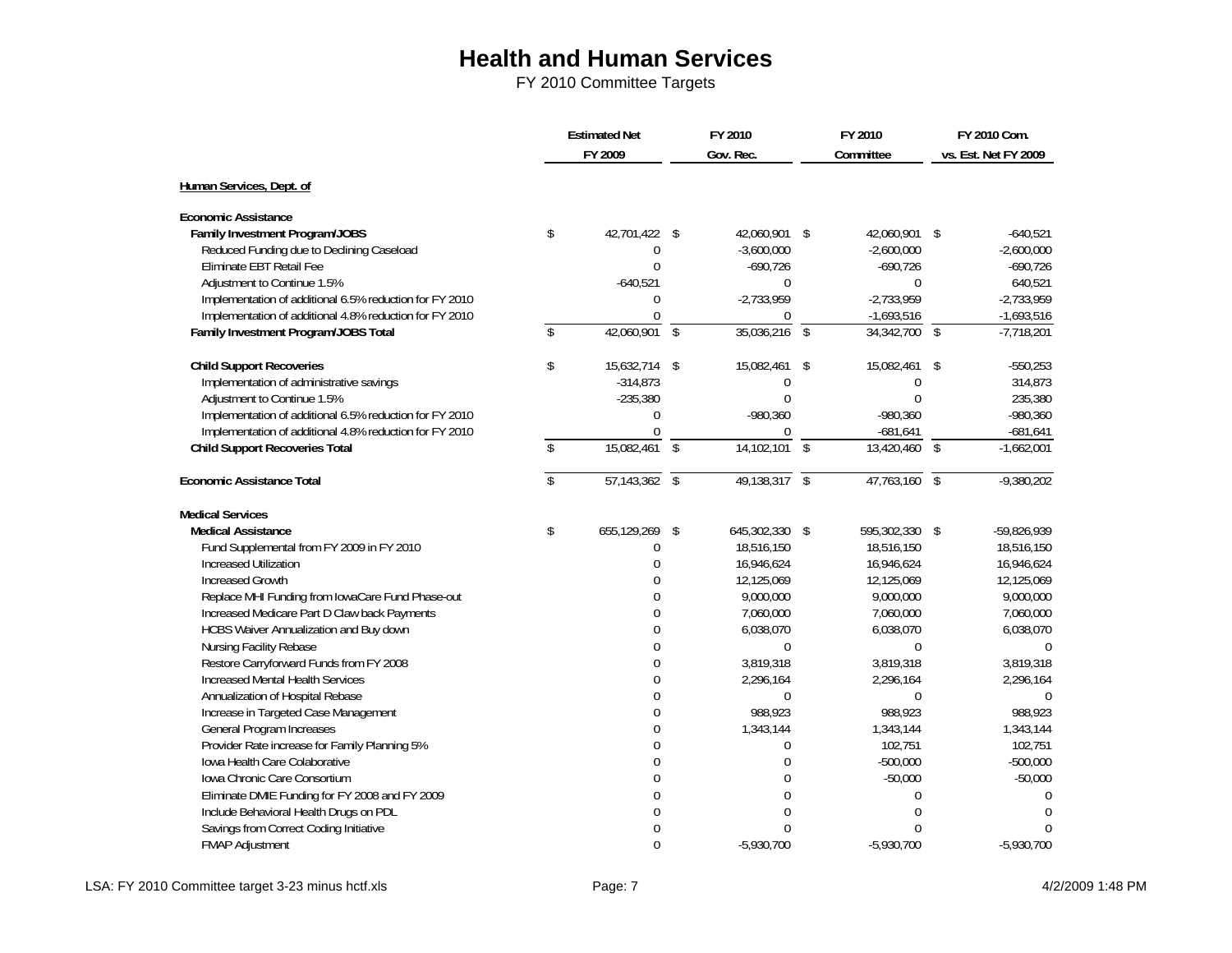FY 2010 Committee Targets

|                                                         | <b>Estimated Net</b>    |                 | FY 2010       |                 | FY 2010       |                | FY 2010 Com.             |                      |
|---------------------------------------------------------|-------------------------|-----------------|---------------|-----------------|---------------|----------------|--------------------------|----------------------|
|                                                         |                         | FY 2009         |               | Gov. Rec.       |               | Committee      |                          | vs. Est. Net FY 2009 |
| Human Services, Dept. of                                |                         |                 |               |                 |               |                |                          |                      |
|                                                         |                         |                 |               |                 |               |                |                          |                      |
| <b>Economic Assistance</b>                              |                         |                 |               |                 |               |                |                          |                      |
| Family Investment Program/JOBS                          | \$                      | 42,701,422 \$   |               | 42,060,901 \$   |               | 42,060,901 \$  |                          | $-640,521$           |
| Reduced Funding due to Declining Caseload               |                         | $\mathbf 0$     |               | $-3,600,000$    |               | $-2,600,000$   |                          | $-2,600,000$         |
| Eliminate EBT Retail Fee                                |                         | $\Omega$        |               | $-690,726$      |               | $-690,726$     |                          | $-690,726$           |
| Adjustment to Continue 1.5%                             |                         | $-640,521$      |               | 0               |               | 0              |                          | 640,521              |
| Implementation of additional 6.5% reduction for FY 2010 |                         | $\theta$        |               | $-2,733,959$    |               | $-2,733,959$   |                          | $-2,733,959$         |
| Implementation of additional 4.8% reduction for FY 2010 |                         | $\Omega$        |               | 0               |               | $-1,693,516$   |                          | $-1,693,516$         |
| Family Investment Program/JOBS Total                    | \$                      | $42,060,901$ \$ |               | 35,036,216      | $\sqrt{3}$    | 34,342,700     | $\overline{\$}$          | $-7,718,201$         |
| <b>Child Support Recoveries</b>                         | \$                      | 15,632,714 \$   |               | 15,082,461      | \$            | 15,082,461     | \$                       | $-550,253$           |
| Implementation of administrative savings                |                         | $-314,873$      |               | 0               |               | 0              |                          | 314,873              |
| Adjustment to Continue 1.5%                             |                         | $-235,380$      |               | $\Omega$        |               | $\theta$       |                          | 235,380              |
| Implementation of additional 6.5% reduction for FY 2010 |                         | $\Omega$        |               | $-980,360$      |               | $-980,360$     |                          | $-980,360$           |
| Implementation of additional 4.8% reduction for FY 2010 |                         | $\mathbf 0$     |               | 0               |               | $-681,641$     |                          | -681,641             |
| <b>Child Support Recoveries Total</b>                   | \$                      | 15,082,461      | $\mathcal{S}$ | 14,102,101      | $\mathsf{\$}$ | 13,420,460     | $\mathbb{S}$             | $-1,662,001$         |
| <b>Economic Assistance Total</b>                        | $\overline{\mathbf{s}}$ | $57,143,362$ \$ |               | $49,138,317$ \$ |               | 47,763,160     | $\overline{\mathcal{S}}$ | $-9,380,202$         |
| <b>Medical Services</b>                                 |                         |                 |               |                 |               |                |                          |                      |
| <b>Medical Assistance</b>                               | \$                      | 655,129,269     | \$            | 645,302,330 \$  |               | 595,302,330 \$ |                          | -59,826,939          |
| Fund Supplemental from FY 2009 in FY 2010               |                         | 0               |               | 18,516,150      |               | 18,516,150     |                          | 18,516,150           |
| Increased Utilization                                   |                         | $\overline{0}$  |               | 16,946,624      |               | 16,946,624     |                          | 16,946,624           |
| <b>Increased Growth</b>                                 |                         | $\Omega$        |               | 12,125,069      |               | 12,125,069     |                          | 12,125,069           |
| Replace MHI Funding from IowaCare Fund Phase-out        |                         | $\Omega$        |               | 9,000,000       |               | 9,000,000      |                          | 9,000,000            |
| Increased Medicare Part D Claw back Payments            |                         | $\overline{0}$  |               | 7,060,000       |               | 7,060,000      |                          | 7,060,000            |
| HCBS Waiver Annualization and Buy down                  |                         | $\Omega$        |               | 6,038,070       |               | 6,038,070      |                          | 6,038,070            |
| Nursing Facility Rebase                                 |                         | $\Omega$        |               | $\Omega$        |               | $\Omega$       |                          | $\Omega$             |
| Restore Carryforward Funds from FY 2008                 |                         | $\overline{0}$  |               | 3,819,318       |               | 3,819,318      |                          | 3,819,318            |
| <b>Increased Mental Health Services</b>                 |                         | $\Omega$        |               | 2,296,164       |               | 2,296,164      |                          | 2,296,164            |
| Annualization of Hospital Rebase                        |                         | $\Omega$        |               | $\Omega$        |               | $\Omega$       |                          | $\Omega$             |
| Increase in Targeted Case Management                    |                         | 0               |               | 988,923         |               | 988,923        |                          | 988,923              |
| General Program Increases                               |                         | $\Omega$        |               | 1,343,144       |               | 1,343,144      |                          | 1,343,144            |
| Provider Rate increase for Family Planning 5%           |                         | $\Omega$        |               | 0               |               | 102,751        |                          | 102,751              |
| Iowa Health Care Colaborative                           |                         | $\overline{0}$  |               | $\overline{0}$  |               | $-500,000$     |                          | $-500,000$           |
| Iowa Chronic Care Consortium                            |                         | 0               |               | $\overline{0}$  |               | $-50,000$      |                          | $-50,000$            |
| Eliminate DMIE Funding for FY 2008 and FY 2009          |                         | $\mathbf 0$     |               | $\overline{0}$  |               | $\Omega$       |                          | $\mathbf 0$          |
| Include Behavioral Health Drugs on PDL                  |                         | $\Omega$        |               | $\Omega$        |               | $\Omega$       |                          | $\Omega$             |
| Savings from Correct Coding Initiative                  |                         | 0               |               | $\Omega$        |               | $\Omega$       |                          | $\Omega$             |
| FMAP Adjustment                                         |                         | $\theta$        |               | $-5,930,700$    |               | $-5,930,700$   |                          | $-5,930,700$         |

LSA: FY 2010 Committee target 3-23 minus hctf.xls example and the Page: 7 4/2/2009 1:48 PM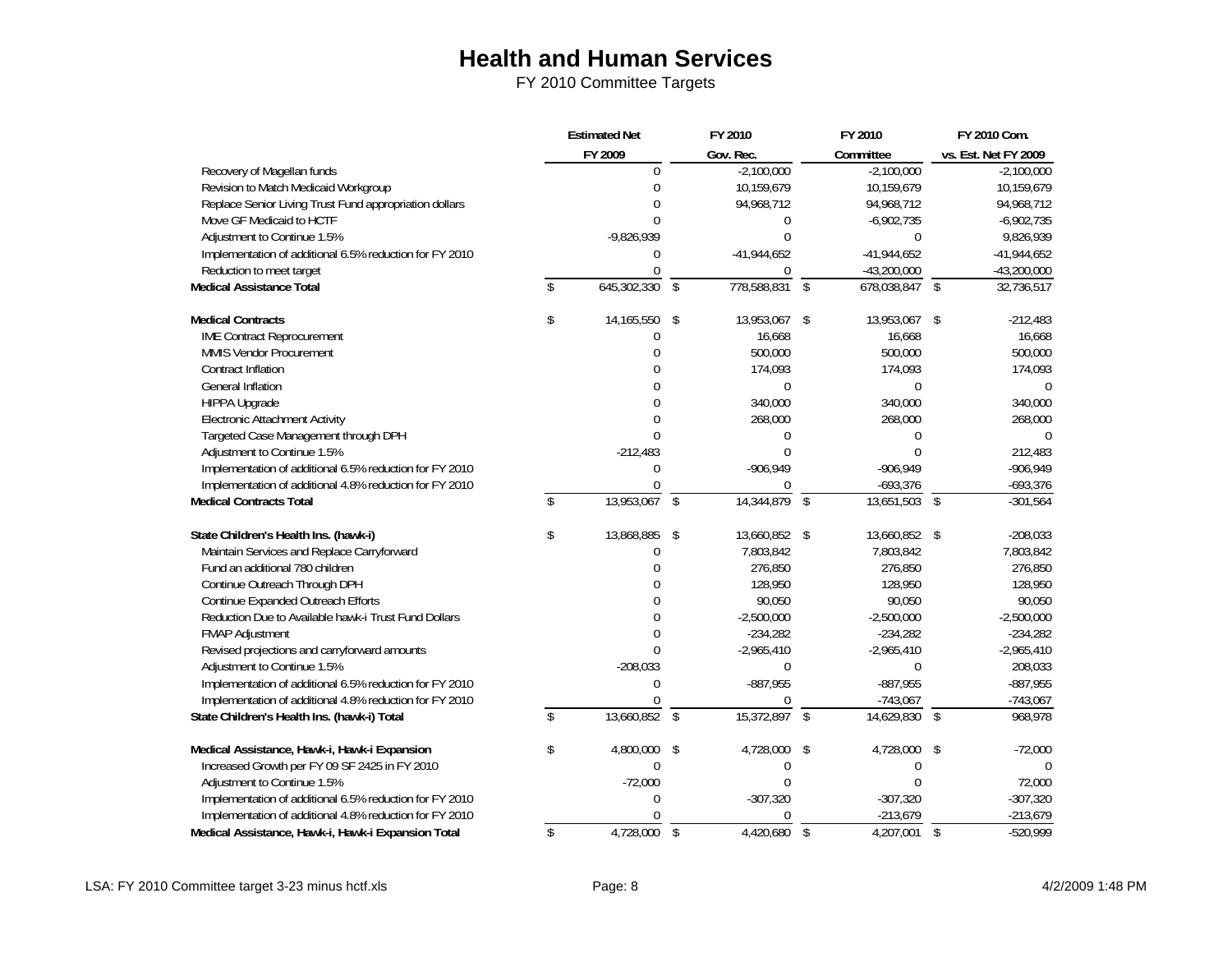|                                                         | <b>Estimated Net</b> |                          | FY 2010        |                         | FY 2010        |               | FY 2010 Com.         |
|---------------------------------------------------------|----------------------|--------------------------|----------------|-------------------------|----------------|---------------|----------------------|
|                                                         | FY 2009              |                          | Gov. Rec.      |                         | Committee      |               | vs. Est. Net FY 2009 |
| Recovery of Magellan funds                              | $\mathbf 0$          |                          | $-2,100,000$   |                         | $-2,100,000$   |               | $-2,100,000$         |
| Revision to Match Medicaid Workgroup                    | $\mathbf 0$          |                          | 10,159,679     |                         | 10,159,679     |               | 10,159,679           |
| Replace Senior Living Trust Fund appropriation dollars  | $\overline{0}$       |                          | 94,968,712     |                         | 94,968,712     |               | 94,968,712           |
| Move GF Medicaid to HCTF                                | $\Omega$             |                          | 0              |                         | $-6,902,735$   |               | $-6,902,735$         |
| Adjustment to Continue 1.5%                             | $-9,826,939$         |                          | $\Omega$       |                         | $\mathbf{0}$   |               | 9,826,939            |
| Implementation of additional 6.5% reduction for FY 2010 | $\mathbf 0$          |                          | $-41,944,652$  |                         | $-41,944,652$  |               | $-41,944,652$        |
| Reduction to meet target                                | $\overline{0}$       |                          | 0              |                         | $-43,200,000$  |               | $-43,200,000$        |
| <b>Medical Assistance Total</b>                         | \$<br>645,302,330    | $\mathcal{S}$            | 778,588,831    | $\sqrt[6]{\frac{1}{2}}$ | 678,038,847 \$ |               | 32,736,517           |
| <b>Medical Contracts</b>                                | \$<br>14,165,550     | \$                       | 13,953,067     | \$                      | 13,953,067     | \$            | $-212,483$           |
| <b>IME Contract Reprocurement</b>                       | 0                    |                          | 16,668         |                         | 16,668         |               | 16,668               |
| MMIS Vendor Procurement                                 | $\Omega$             |                          | 500,000        |                         | 500,000        |               | 500,000              |
| <b>Contract Inflation</b>                               | $\Omega$             |                          | 174,093        |                         | 174,093        |               | 174,093              |
| General Inflation                                       | $\Omega$             |                          | $\overline{0}$ |                         | $\overline{0}$ |               | $\mathbf 0$          |
| HIPPA Upgrade                                           | $\Omega$             |                          | 340,000        |                         | 340,000        |               | 340,000              |
| <b>Electronic Attachment Activity</b>                   | $\mathbf 0$          |                          | 268,000        |                         | 268,000        |               | 268,000              |
| Targeted Case Management through DPH                    | $\Omega$             |                          | $\mathbf 0$    |                         | $\Omega$       |               | $\Omega$             |
| Adjustment to Continue 1.5%                             | $-212,483$           |                          | $\Omega$       |                         | $\Omega$       |               | 212,483              |
| Implementation of additional 6.5% reduction for FY 2010 | $\mathbf 0$          |                          | $-906,949$     |                         | $-906,949$     |               | $-906,949$           |
| Implementation of additional 4.8% reduction for FY 2010 | $\Omega$             |                          | $\Omega$       |                         | $-693,376$     |               | $-693,376$           |
| <b>Medical Contracts Total</b>                          | \$<br>13,953,067     | $\sqrt{2}$               | 14,344,879     | \$                      | 13,651,503     | $\mathcal{S}$ | $-301,564$           |
| State Children's Health Ins. (hawk-i)                   | \$<br>13,868,885     | \$                       | 13,660,852     | \$                      | 13,660,852 \$  |               | $-208,033$           |
| Maintain Services and Replace Carryforward              | $\Omega$             |                          | 7,803,842      |                         | 7,803,842      |               | 7,803,842            |
| Fund an additional 780 children                         | $\Omega$             |                          | 276,850        |                         | 276,850        |               | 276,850              |
| Continue Outreach Through DPH                           | $\theta$             |                          | 128,950        |                         | 128,950        |               | 128,950              |
| Continue Expanded Outreach Efforts                      | $\mathbf 0$          |                          | 90,050         |                         | 90,050         |               | 90,050               |
| Reduction Due to Available hawk-i Trust Fund Dollars    | $\Omega$             |                          | $-2,500,000$   |                         | $-2,500,000$   |               | $-2,500,000$         |
| <b>FMAP Adjustment</b>                                  | $\Omega$             |                          | $-234,282$     |                         | $-234,282$     |               | $-234,282$           |
| Revised projections and carryforward amounts            | $\Omega$             |                          | $-2,965,410$   |                         | $-2,965,410$   |               | $-2,965,410$         |
| Adjustment to Continue 1.5%                             | $-208,033$           |                          | $\mathbf{0}$   |                         | $\mathbf{0}$   |               | 208,033              |
| Implementation of additional 6.5% reduction for FY 2010 | $\mathbf 0$          |                          | $-887,955$     |                         | $-887,955$     |               | $-887,955$           |
| Implementation of additional 4.8% reduction for FY 2010 | U                    |                          | 0              |                         | $-743,067$     |               | $-743,067$           |
| State Children's Health Ins. (hawk-i) Total             | \$<br>13,660,852     | \$                       | 15,372,897     | \$                      | 14,629,830     | \$            | 968,978              |
| Medical Assistance, Hawk-i, Hawk-i Expansion            | \$<br>4,800,000      | \$                       | 4,728,000      | \$                      | 4,728,000      | \$            | $-72,000$            |
| Increased Growth per FY 09 SF 2425 in FY 2010           | $\mathbf 0$          |                          | 0              |                         | $\mathbf 0$    |               | $\Omega$             |
| Adjustment to Continue 1.5%                             | $-72,000$            |                          | $\Omega$       |                         | $\Omega$       |               | 72,000               |
| Implementation of additional 6.5% reduction for FY 2010 | $\Omega$             |                          | $-307,320$     |                         | $-307,320$     |               | $-307,320$           |
| Implementation of additional 4.8% reduction for FY 2010 | 0                    |                          | 0              |                         | $-213,679$     |               | $-213,679$           |
| Medical Assistance, Hawk-i, Hawk-i Expansion Total      | \$<br>4,728,000      | $\overline{\mathcal{S}}$ | 4,420,680      | $\sqrt{3}$              | 4,207,001      | $\mathcal{S}$ | $-520.999$           |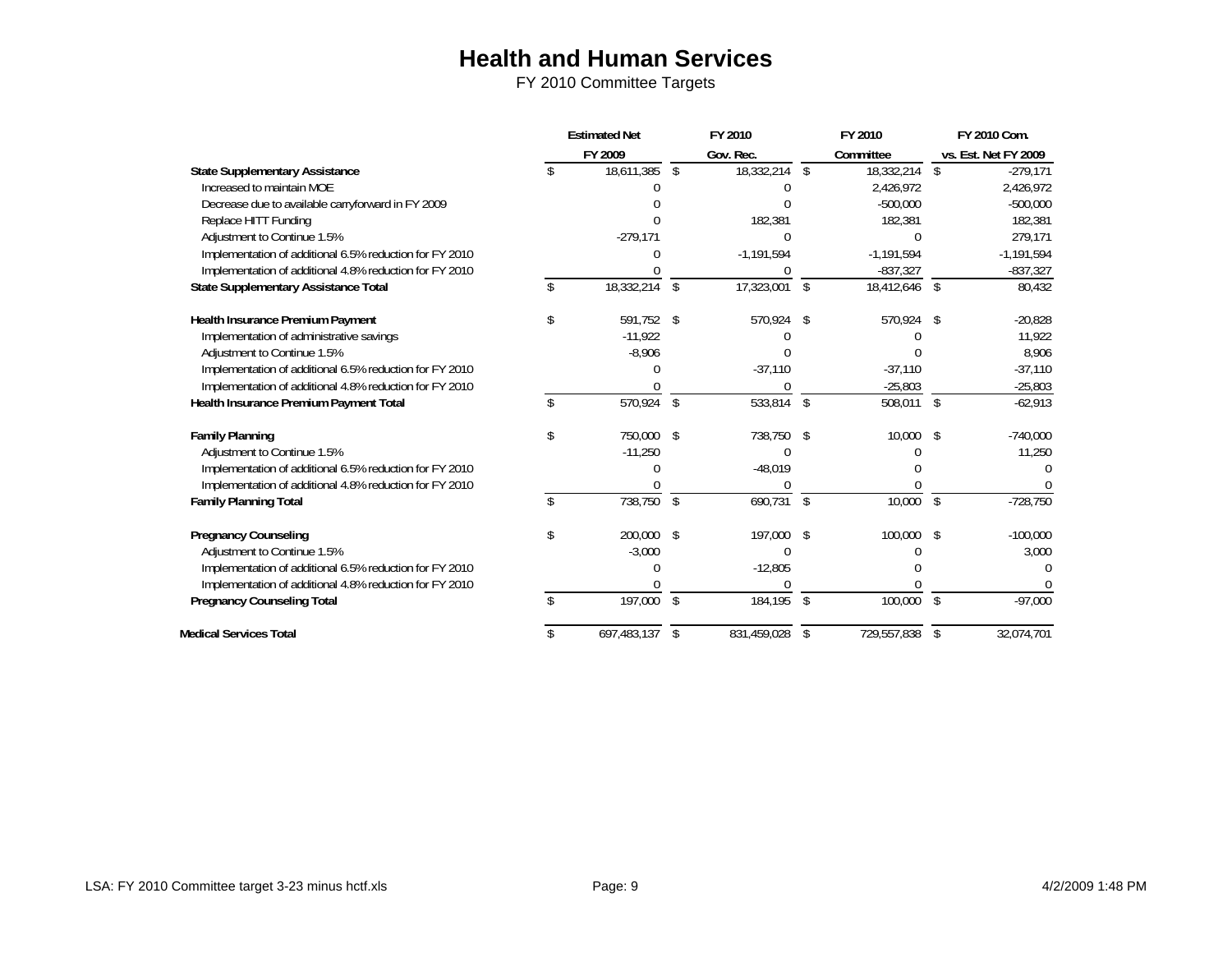|                                                         | <b>Estimated Net</b> | FY 2010           |                | FY 2010      |                    | FY 2010 Com.         |
|---------------------------------------------------------|----------------------|-------------------|----------------|--------------|--------------------|----------------------|
|                                                         | FY 2009              | Gov. Rec.         |                | Committee    |                    | vs. Est. Net FY 2009 |
| <b>State Supplementary Assistance</b>                   | 18,611,385           | \$<br>18,332,214  | \$             | 18,332,214   | \$                 | $-279,171$           |
| Increased to maintain MOE                               |                      |                   |                | 2,426,972    |                    | 2,426,972            |
| Decrease due to available carryforward in FY 2009       |                      |                   |                | $-500,000$   |                    | $-500,000$           |
| Replace HITT Funding                                    |                      | 182,381           |                | 182,381      |                    | 182,381              |
| Adjustment to Continue 1.5%                             | $-279,171$           |                   |                |              |                    | 279,171              |
| Implementation of additional 6.5% reduction for FY 2010 |                      | $-1,191,594$      |                | $-1,191,594$ |                    | $-1,191,594$         |
| Implementation of additional 4.8% reduction for FY 2010 |                      |                   |                | $-837,327$   |                    | $-837,327$           |
| State Supplementary Assistance Total                    | 18,332,214           | \$<br>17,323,001  | \$             | 18,412,646   | $\mathcal{S}$      | 80,432               |
| <b>Health Insurance Premium Payment</b>                 | \$<br>591,752        | \$<br>570,924     | \$             | 570,924      | S                  | $-20,828$            |
| Implementation of administrative savings                | $-11,922$            |                   |                |              |                    | 11,922               |
| Adjustment to Continue 1.5%                             | $-8,906$             |                   |                |              |                    | 8,906                |
| Implementation of additional 6.5% reduction for FY 2010 |                      | $-37,110$         |                | $-37,110$    |                    | $-37,110$            |
| Implementation of additional 4.8% reduction for FY 2010 |                      |                   |                | $-25,803$    |                    | $-25,803$            |
| Health Insurance Premium Payment Total                  | 570,924              | \$<br>533,814     | $\mathfrak{L}$ | 508,011      | $\mathbf{\hat{s}}$ | $-62,913$            |
| <b>Family Planning</b>                                  | \$<br>750.000        | \$<br>738,750     | \$             | 10,000       | \$                 | $-740,000$           |
| Adjustment to Continue 1.5%                             | $-11,250$            |                   |                |              |                    | 11,250               |
| Implementation of additional 6.5% reduction for FY 2010 |                      | $-48,019$         |                |              |                    |                      |
| Implementation of additional 4.8% reduction for FY 2010 |                      |                   |                |              |                    |                      |
| <b>Family Planning Total</b>                            | 738,750              | \$<br>690,731     | $\sqrt{2}$     | 10,000       | $\mathfrak{L}$     | $-728,750$           |
| <b>Pregnancy Counseling</b>                             | \$<br>200,000        | \$<br>197,000     | -\$            | 100,000      | $\mathcal{L}$      | $-100,000$           |
| Adjustment to Continue 1.5%                             | $-3,000$             |                   |                |              |                    | 3,000                |
| Implementation of additional 6.5% reduction for FY 2010 | U                    | $-12,805$         |                |              |                    |                      |
| Implementation of additional 4.8% reduction for FY 2010 |                      |                   |                |              |                    |                      |
| <b>Pregnancy Counseling Total</b>                       | 197,000              | \$<br>184,195     | \$             | 100,000      | \$                 | $-97,000$            |
| <b>Medical Services Total</b>                           | 697,483,137          | \$<br>831,459,028 | \$             | 729,557,838  | \$                 | 32,074,701           |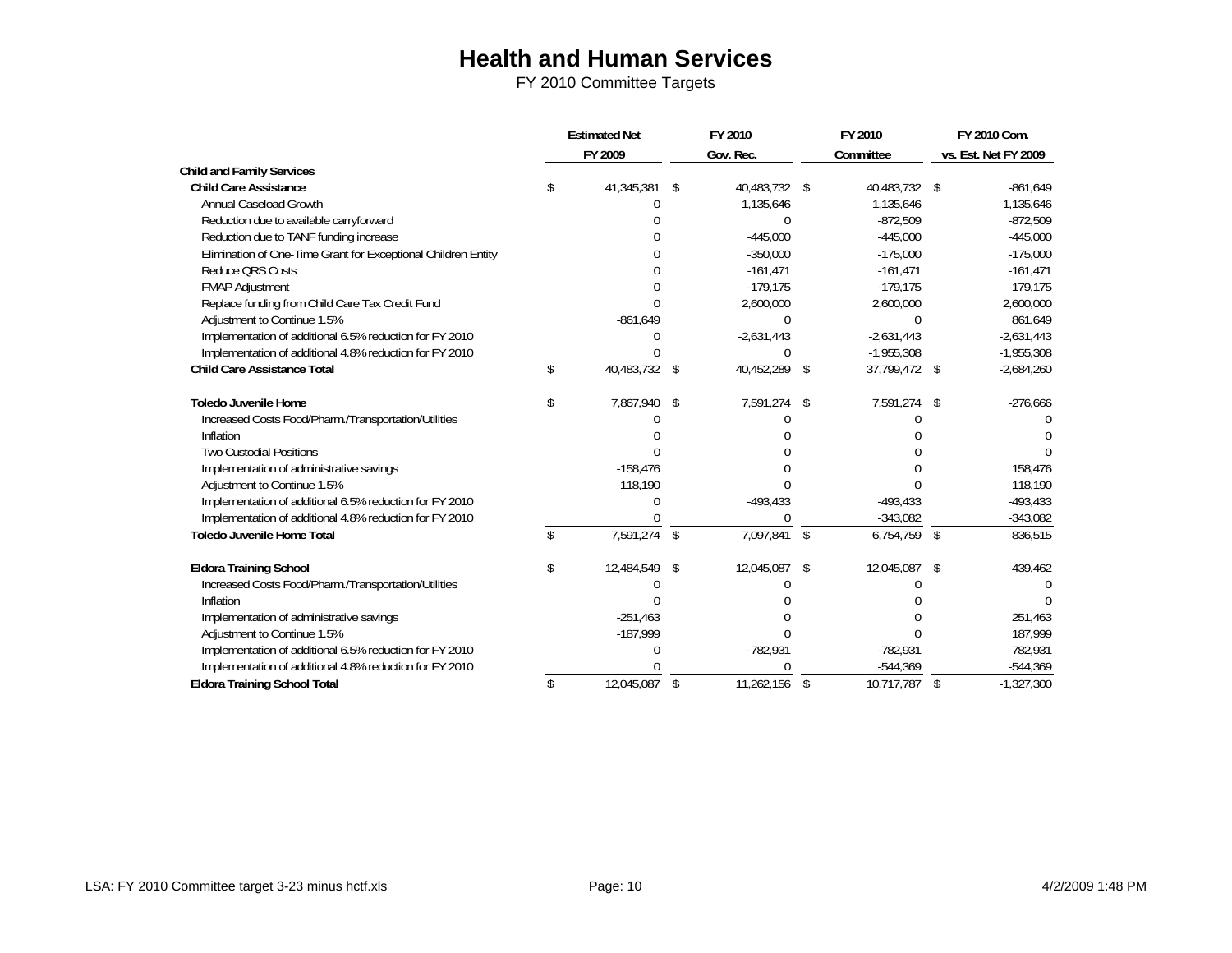|                                                               |     | <b>Estimated Net</b> |              | FY 2010       | FY 2010             | FY 2010 Com.         |
|---------------------------------------------------------------|-----|----------------------|--------------|---------------|---------------------|----------------------|
|                                                               |     | FY 2009              |              | Gov. Rec.     | Committee           | vs. Est. Net FY 2009 |
| <b>Child and Family Services</b>                              |     |                      |              |               |                     |                      |
| <b>Child Care Assistance</b>                                  | \$  | 41,345,381 \$        |              | 40,483,732 \$ | 40,483,732 \$       | $-861,649$           |
| Annual Caseload Growth                                        |     |                      |              | 1,135,646     | 1,135,646           | 1,135,646            |
| Reduction due to available carryforward                       |     |                      |              |               | $-872,509$          | $-872,509$           |
| Reduction due to TANF funding increase                        |     |                      |              | $-445,000$    | $-445,000$          | $-445,000$           |
| Elimination of One-Time Grant for Exceptional Children Entity |     |                      |              | $-350,000$    | $-175,000$          | $-175,000$           |
| Reduce QRS Costs                                              |     |                      |              | $-161,471$    | $-161,471$          | $-161,471$           |
| FMAP Adjustment                                               |     |                      |              | $-179,175$    | $-179,175$          | $-179,175$           |
| Replace funding from Child Care Tax Credit Fund               |     | <sup>0</sup>         |              | 2,600,000     | 2,600,000           | 2,600,000            |
| Adjustment to Continue 1.5%                                   |     | $-861,649$           |              | 0             | $\Omega$            | 861,649              |
| Implementation of additional 6.5% reduction for FY 2010       |     |                      |              | $-2,631,443$  | $-2,631,443$        | $-2,631,443$         |
| Implementation of additional 4.8% reduction for FY 2010       |     |                      |              | $\Omega$      | $-1,955,308$        | $-1,955,308$         |
| <b>Child Care Assistance Total</b>                            |     | 40,483,732           | \$           | 40,452,289    | \$<br>37,799,472 \$ | $-2,684,260$         |
| <b>Toledo Juvenile Home</b>                                   | \$  | 7,867,940 \$         |              | 7,591,274     | \$<br>7,591,274     | \$<br>$-276,666$     |
| Increased Costs Food/Pharm./Transportation/Utilities          |     |                      |              |               |                     |                      |
| Inflation                                                     |     |                      |              |               |                     |                      |
| Two Custodial Positions                                       |     |                      |              |               |                     |                      |
| Implementation of administrative savings                      |     | $-158,476$           |              |               |                     | 158,476              |
| Adjustment to Continue 1.5%                                   |     | $-118,190$           |              |               |                     | 118,190              |
| Implementation of additional 6.5% reduction for FY 2010       |     |                      |              | $-493,433$    | $-493,433$          | $-493,433$           |
| Implementation of additional 4.8% reduction for FY 2010       |     |                      |              |               | $-343,082$          | $-343,082$           |
| <b>Toledo Juvenile Home Total</b>                             |     | 7,591,274            | \$           | 7,097,841 \$  | $6,754,759$ \$      | $-836,515$           |
| <b>Eldora Training School</b>                                 | \$  | 12,484,549           | \$           | 12,045,087    | \$<br>12,045,087    | \$<br>$-439,462$     |
| Increased Costs Food/Pharm./Transportation/Utilities          |     |                      |              |               |                     |                      |
| Inflation                                                     |     |                      |              |               |                     |                      |
| Implementation of administrative savings                      |     | $-251,463$           |              |               |                     | 251,463              |
| Adjustment to Continue 1.5%                                   |     | $-187,999$           |              |               | <sup>0</sup>        | 187,999              |
| Implementation of additional 6.5% reduction for FY 2010       |     |                      |              | $-782,931$    | -782,931            | $-782,931$           |
| Implementation of additional 4.8% reduction for FY 2010       |     |                      |              |               | $-544,369$          | $-544,369$           |
| <b>Eldora Training School Total</b>                           | \$. | 12,045,087           | $\mathbb{S}$ | 11,262,156    | \$<br>10.717.787    | \$<br>$-1,327,300$   |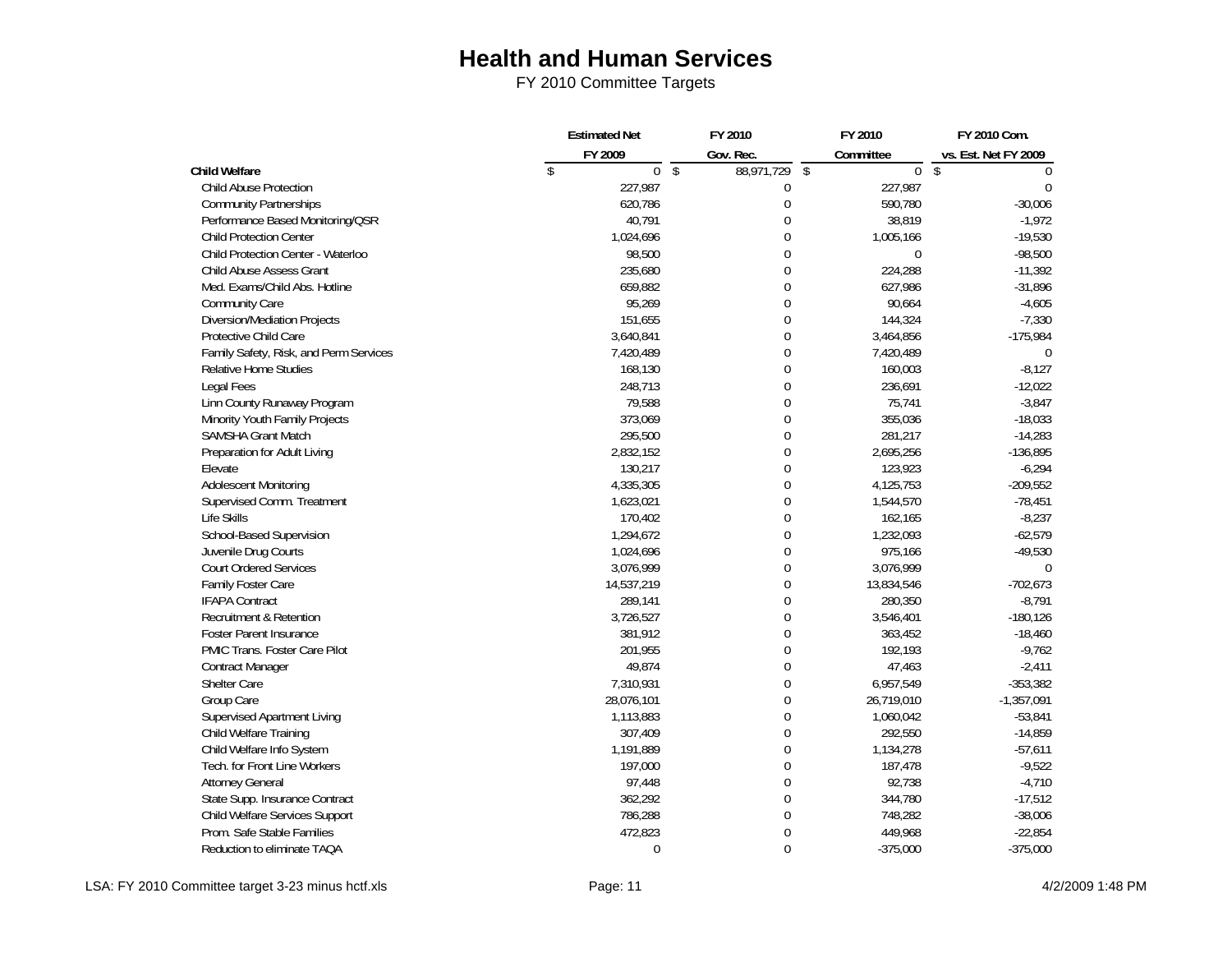|                                        | <b>Estimated Net</b>         | FY 2010                       | FY 2010                                | FY 2010 Com.         |  |
|----------------------------------------|------------------------------|-------------------------------|----------------------------------------|----------------------|--|
|                                        | FY 2009                      | Gov. Rec.                     | Committee                              | vs. Est. Net FY 2009 |  |
| <b>Child Welfare</b>                   | $\sqrt[6]{}$<br>$\mathbf{0}$ | $\overline{\$}$<br>88,971,729 | $\sqrt{\frac{4}{2}}$<br>$\overline{0}$ | \$<br>$\Omega$       |  |
| Child Abuse Protection                 | 227,987                      | 0                             | 227,987                                | $\Omega$             |  |
| <b>Community Partnerships</b>          | 620,786                      | $\overline{0}$                | 590,780                                | $-30,006$            |  |
| Performance Based Monitoring/QSR       | 40,791                       | 0                             | 38,819                                 | $-1,972$             |  |
| <b>Child Protection Center</b>         | 1,024,696                    | 0                             | 1,005,166                              | $-19,530$            |  |
| Child Protection Center - Waterloo     | 98,500                       | 0                             | $\mathbf 0$                            | $-98,500$            |  |
| Child Abuse Assess Grant               | 235,680                      | 0                             | 224,288                                | $-11,392$            |  |
| Med. Exams/Child Abs. Hotline          | 659,882                      | 0                             | 627,986                                | $-31,896$            |  |
| Community Care                         | 95,269                       | 0                             | 90,664                                 | $-4,605$             |  |
| Diversion/Mediation Projects           | 151,655                      | 0                             | 144,324                                | $-7,330$             |  |
| Protective Child Care                  | 3,640,841                    | 0                             | 3,464,856                              | $-175,984$           |  |
| Family Safety, Risk, and Perm Services | 7,420,489                    | 0                             | 7,420,489                              | $\Omega$             |  |
| Relative Home Studies                  | 168,130                      | 0                             | 160,003                                | $-8,127$             |  |
| Legal Fees                             | 248,713                      | 0                             | 236,691                                | $-12,022$            |  |
| Linn County Runaway Program            | 79,588                       | 0                             | 75,741                                 | $-3,847$             |  |
| Minority Youth Family Projects         | 373,069                      | 0                             | 355,036                                | $-18,033$            |  |
| SAMSHA Grant Match                     | 295,500                      | 0                             | 281,217                                | $-14,283$            |  |
| Preparation for Adult Living           | 2,832,152                    | 0                             | 2,695,256                              | $-136,895$           |  |
| Elevate                                | 130,217                      | 0                             | 123,923                                | $-6,294$             |  |
| Adolescent Monitoring                  | 4,335,305                    | 0                             | 4,125,753                              | $-209,552$           |  |
| Supervised Comm. Treatment             | 1,623,021                    | 0                             | 1,544,570                              | $-78,451$            |  |
| Life Skills                            | 170,402                      | 0                             | 162,165                                | $-8,237$             |  |
| School-Based Supervision               | 1,294,672                    | 0                             | 1,232,093                              | $-62,579$            |  |
| Juvenile Drug Courts                   | 1,024,696                    | 0                             | 975,166                                | $-49,530$            |  |
| <b>Court Ordered Services</b>          | 3,076,999                    | 0                             | 3,076,999                              |                      |  |
| Family Foster Care                     | 14,537,219                   | $\overline{0}$                | 13,834,546                             | $-702,673$           |  |
| <b>IFAPA Contract</b>                  | 289,141                      | 0                             | 280,350                                | $-8,791$             |  |
| Recruitment & Retention                | 3,726,527                    | $\overline{0}$                | 3,546,401                              | $-180, 126$          |  |
| <b>Foster Parent Insurance</b>         | 381,912                      | 0                             | 363,452                                | $-18,460$            |  |
| PMIC Trans. Foster Care Pilot          | 201,955                      | 0                             | 192,193                                | $-9,762$             |  |
| <b>Contract Manager</b>                | 49,874                       | 0                             | 47,463                                 | $-2,411$             |  |
| Shelter Care                           | 7,310,931                    | 0                             | 6,957,549                              | $-353,382$           |  |
| Group Care                             | 28,076,101                   | 0                             | 26,719,010                             | $-1,357,091$         |  |
| Supervised Apartment Living            | 1,113,883                    | 0                             | 1,060,042                              | $-53,841$            |  |
| Child Welfare Training                 | 307,409                      | $\overline{0}$                | 292,550                                | $-14,859$            |  |
| Child Welfare Info System              | 1,191,889                    | 0                             | 1,134,278                              | $-57,611$            |  |
| Tech. for Front Line Workers           | 197,000                      | 0                             | 187,478                                | $-9,522$             |  |
| <b>Attorney General</b>                | 97,448                       | 0                             | 92,738                                 | $-4,710$             |  |
| State Supp. Insurance Contract         | 362,292                      | 0                             | 344,780                                | $-17,512$            |  |
| Child Welfare Services Support         | 786,288                      | 0                             | 748,282                                | $-38,006$            |  |
| Prom. Safe Stable Families             | 472,823                      | 0                             | 449,968                                | $-22,854$            |  |
| Reduction to eliminate TAQA            | 0                            | $\Omega$                      | $-375,000$                             | $-375,000$           |  |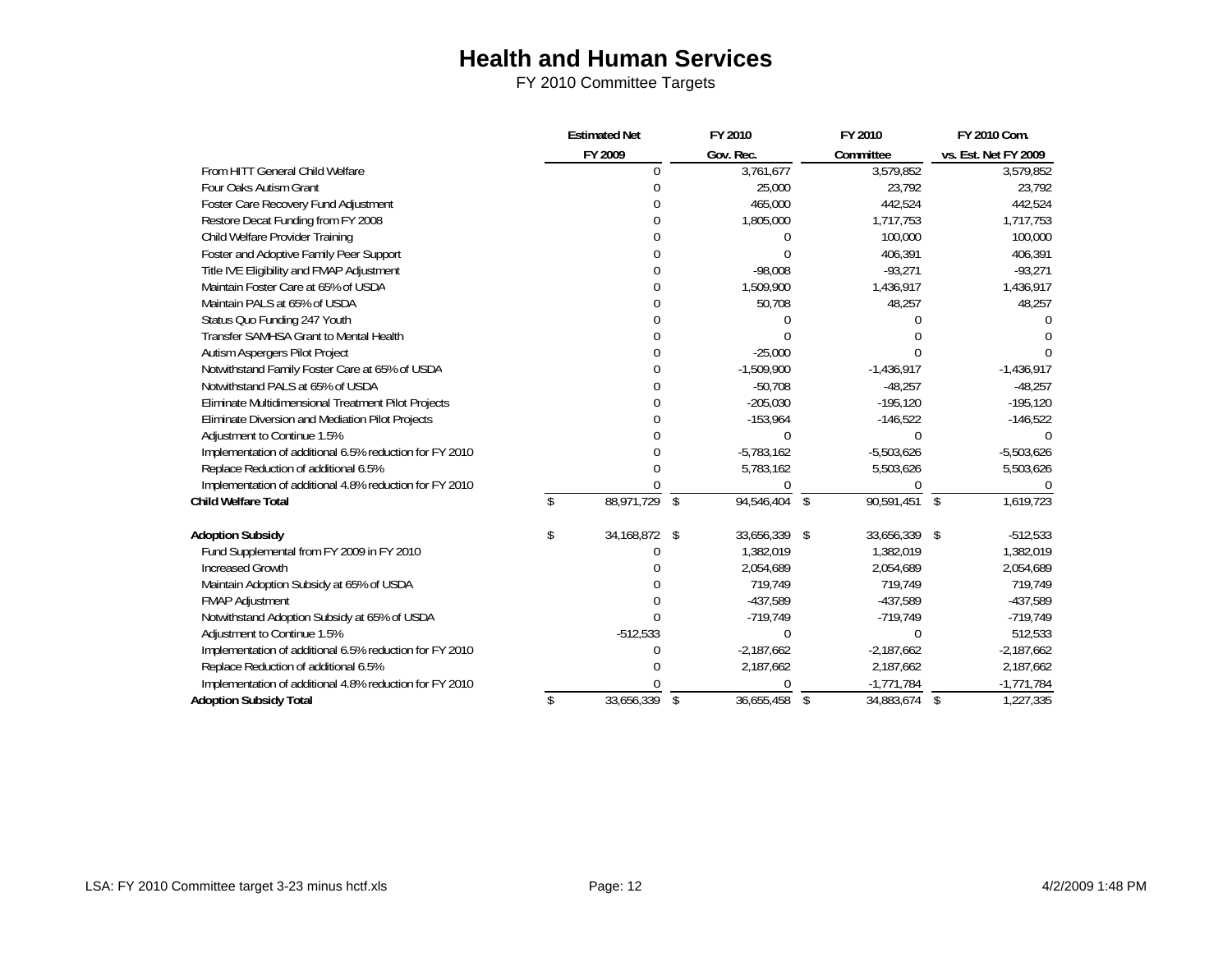|                                                         | <b>Estimated Net</b>  | FY 2010 |              | FY 2010          |     | FY 2010 Com.         |
|---------------------------------------------------------|-----------------------|---------|--------------|------------------|-----|----------------------|
|                                                         | FY 2009               |         | Gov. Rec.    | Committee        |     | vs. Est. Net FY 2009 |
| From HITT General Child Welfare                         | $\Omega$              |         | 3,761,677    | 3,579,852        |     | 3,579,852            |
| Four Oaks Autism Grant                                  | $\Omega$              |         | 25,000       | 23,792           |     | 23,792               |
| Foster Care Recovery Fund Adjustment                    | $\Omega$              |         | 465,000      | 442,524          |     | 442,524              |
| Restore Decat Funding from FY 2008                      | $\Omega$              |         | 1,805,000    | 1,717,753        |     | 1,717,753            |
| Child Welfare Provider Training                         | $\Omega$              |         | U            | 100,000          |     | 100,000              |
| Foster and Adoptive Family Peer Support                 | $\Omega$              |         |              | 406,391          |     | 406,391              |
| Title IVE Eligibility and FMAP Adjustment               | $\Omega$              |         | $-98,008$    | $-93,271$        |     | $-93,271$            |
| Maintain Foster Care at 65% of USDA                     | $\theta$              |         | 1,509,900    | 1,436,917        |     | 1,436,917            |
| Maintain PALS at 65% of USDA                            | $\Omega$              |         | 50,708       | 48,257           |     | 48,257               |
| Status Quo Funding 247 Youth                            | $\Omega$              |         | $\Omega$     | $\Omega$         |     |                      |
| Transfer SAMHSA Grant to Mental Health                  | $\Omega$              |         |              |                  |     |                      |
| Autism Aspergers Pilot Project                          | $\overline{0}$        |         | $-25,000$    | <sup>0</sup>     |     |                      |
| Notwithstand Family Foster Care at 65% of USDA          | $\mathbf 0$           |         | $-1,509,900$ | $-1,436,917$     |     | $-1,436,917$         |
| Notwithstand PALS at 65% of USDA                        | $\Omega$              |         | $-50,708$    | $-48,257$        |     | $-48,257$            |
| Eliminate Multidimensional Treatment Pilot Projects     | $\Omega$              |         | $-205,030$   | $-195,120$       |     | $-195,120$           |
| Eliminate Diversion and Mediation Pilot Projects        | $\Omega$              |         | $-153,964$   | $-146,522$       |     | $-146,522$           |
| Adjustment to Continue 1.5%                             | $\Omega$              |         | 0            | 0                |     |                      |
| Implementation of additional 6.5% reduction for FY 2010 | $\mathbf 0$           |         | $-5,783,162$ | $-5,503,626$     |     | $-5,503,626$         |
| Replace Reduction of additional 6.5%                    | $\Omega$              |         | 5,783,162    | 5,503,626        |     | 5,503,626            |
| Implementation of additional 4.8% reduction for FY 2010 |                       |         | 0            | 0                |     |                      |
| <b>Child Welfare Total</b>                              | \$<br>88,971,729      | \$      | 94,546,404   | \$<br>90,591,451 | -\$ | 1,619,723            |
| <b>Adoption Subsidy</b>                                 | \$<br>34, 168, 872 \$ |         | 33,656,339   | \$<br>33,656,339 | -\$ | $-512,533$           |
| Fund Supplemental from FY 2009 in FY 2010               | U                     |         | 1,382,019    | 1,382,019        |     | 1,382,019            |
| <b>Increased Growth</b>                                 |                       |         | 2,054,689    | 2,054,689        |     | 2,054,689            |
| Maintain Adoption Subsidy at 65% of USDA                | $\Omega$              |         | 719,749      | 719,749          |     | 719,749              |
| <b>FMAP Adjustment</b>                                  | 0                     |         | $-437,589$   | $-437,589$       |     | $-437,589$           |
| Notwithstand Adoption Subsidy at 65% of USDA            | $\Omega$              |         | $-719,749$   | $-719,749$       |     | $-719,749$           |
| Adjustment to Continue 1.5%                             | $-512,533$            |         | 0            | $\Omega$         |     | 512,533              |
| Implementation of additional 6.5% reduction for FY 2010 | 0                     |         | $-2,187,662$ | $-2,187,662$     |     | $-2,187,662$         |
| Replace Reduction of additional 6.5%                    | 0                     |         | 2,187,662    | 2,187,662        |     | 2,187,662            |
| Implementation of additional 4.8% reduction for FY 2010 |                       |         | 0            | $-1,771,784$     |     | $-1,771,784$         |
| <b>Adoption Subsidy Total</b>                           | \$<br>33.656.339      | \$      | 36.655.458   | \$<br>34.883.674 | \$  | 1.227.335            |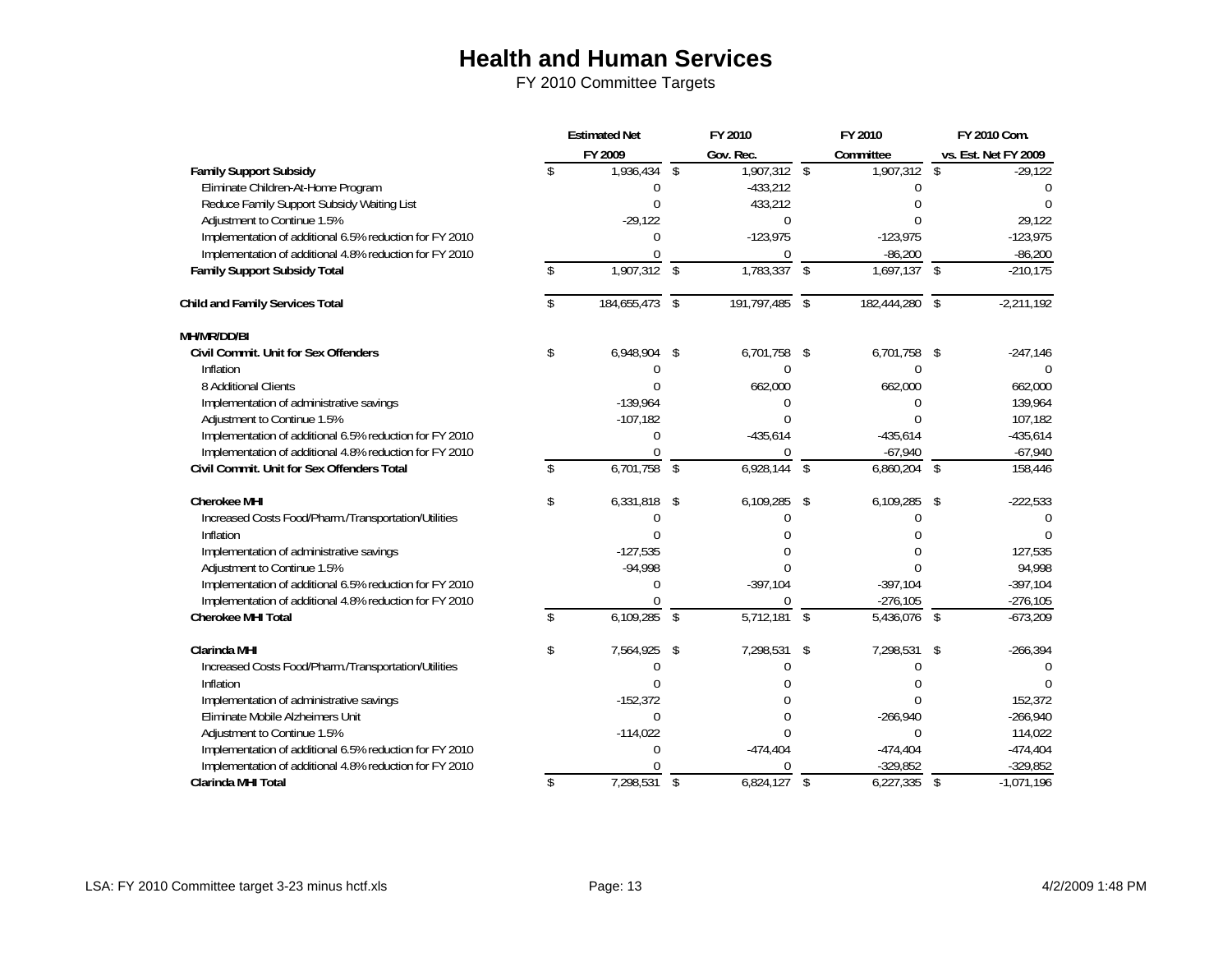|                                                         |               | <b>Estimated Net</b> |               | FY 2010     |               | FY 2010                   |                         | FY 2010 Com.         |
|---------------------------------------------------------|---------------|----------------------|---------------|-------------|---------------|---------------------------|-------------------------|----------------------|
|                                                         |               | FY 2009              |               | Gov. Rec.   |               | Committee                 |                         | vs. Est. Net FY 2009 |
| <b>Family Support Subsidy</b>                           | \$            | 1,936,434            | \$            | 1,907,312   | $\sqrt[6]{}$  | 1,907,312                 | \$                      | $-29,122$            |
| Eliminate Children-At-Home Program                      |               | $\Omega$             |               | $-433,212$  |               | U                         |                         |                      |
| Reduce Family Support Subsidy Waiting List              |               | $\Omega$             |               | 433,212     |               |                           |                         |                      |
| Adjustment to Continue 1.5%                             |               | $-29,122$            |               | $\Omega$    |               |                           |                         | 29,122               |
| Implementation of additional 6.5% reduction for FY 2010 |               | $\Omega$             |               | $-123,975$  |               | $-123,975$                |                         | $-123,975$           |
| Implementation of additional 4.8% reduction for FY 2010 |               |                      |               | $\Omega$    |               | $-86,200$                 |                         | $-86,200$            |
| <b>Family Support Subsidy Total</b>                     | \$            | 1,907,312            | $\mathcal{L}$ | 1,783,337   | $\sqrt{2}$    | $\overline{1,697,137}$ \$ |                         | $-210,175$           |
| <b>Child and Family Services Total</b>                  | \$            | 184,655,473          | $\sqrt{2}$    | 191,797,485 | $\sqrt{2}$    | 182,444,280               | \$                      | $-2,211,192$         |
| MH/MR/DD/BI                                             |               |                      |               |             |               |                           |                         |                      |
| Civil Commit. Unit for Sex Offenders                    | \$            | 6,948,904            | \$            | 6,701,758   | -\$           | 6,701,758 \$              |                         | $-247,146$           |
| Inflation                                               |               | 0                    |               | $\Omega$    |               | $\Omega$                  |                         | $\Omega$             |
| 8 Additional Clients                                    |               |                      |               | 662,000     |               | 662,000                   |                         | 662.000              |
| Implementation of administrative savings                |               | $-139,964$           |               | $\Omega$    |               | $\Omega$                  |                         | 139,964              |
| Adjustment to Continue 1.5%                             |               | $-107,182$           |               | $\Omega$    |               | $\Omega$                  |                         | 107,182              |
| Implementation of additional 6.5% reduction for FY 2010 |               | $\Omega$             |               | $-435,614$  |               | $-435,614$                |                         | $-435,614$           |
| Implementation of additional 4.8% reduction for FY 2010 |               |                      |               | $\Omega$    |               | $-67,940$                 |                         | $-67,940$            |
| Civil Commit. Unit for Sex Offenders Total              | \$            | 6,701,758            | $\mathcal{L}$ | 6,928,144   | $\sqrt{2}$    | 6,860,204                 | $\mathcal{S}$           | 158,446              |
| <b>Cherokee MHI</b>                                     | \$            | 6,331,818            | \$            | 6,109,285   | \$            | 6,109,285                 | \$                      | $-222,533$           |
| Increased Costs Food/Pharm./Transportation/Utilities    |               | $\Omega$             |               | U           |               | U                         |                         | $\Omega$             |
| Inflation                                               |               | $\Omega$             |               |             |               |                           |                         |                      |
| Implementation of administrative savings                |               | $-127,535$           |               |             |               |                           |                         | 127,535              |
| Adjustment to Continue 1.5%                             |               | $-94,998$            |               | $\Omega$    |               | $\Omega$                  |                         | 94,998               |
| Implementation of additional 6.5% reduction for FY 2010 |               | $\Omega$             |               | $-397,104$  |               | $-397,104$                |                         | $-397,104$           |
| Implementation of additional 4.8% reduction for FY 2010 |               | $\Omega$             |               | $\Omega$    |               | $-276,105$                |                         | $-276,105$           |
| <b>Cherokee MHI Total</b>                               | \$            | 6,109,285            | $\mathcal{S}$ | 5,712,181   | $\mathcal{S}$ | 5,436,076 \$              |                         | $-673,209$           |
| <b>Clarinda MHI</b>                                     | \$            | 7,564,925            | \$            | 7,298,531   | \$            | 7,298,531                 | \$                      | $-266,394$           |
| Increased Costs Food/Pharm./Transportation/Utilities    |               | $\Omega$             |               | U           |               | $\Omega$                  |                         |                      |
| Inflation                                               |               | $\Omega$             |               |             |               | 0                         |                         |                      |
| Implementation of administrative savings                |               | $-152,372$           |               |             |               |                           |                         | 152,372              |
| Eliminate Mobile Alzheimers Unit                        |               | $\Omega$             |               | $\Omega$    |               | $-266,940$                |                         | $-266,940$           |
| Adjustment to Continue 1.5%                             |               | $-114,022$           |               | $\Omega$    |               | $\Omega$                  |                         | 114,022              |
| Implementation of additional 6.5% reduction for FY 2010 |               | $\Omega$             |               | $-474,404$  |               | $-474,404$                |                         | $-474,404$           |
| Implementation of additional 4.8% reduction for FY 2010 |               |                      |               | $\Omega$    |               | $-329,852$                |                         | $-329,852$           |
| Clarinda MHI Total                                      | $\mathcal{L}$ | 7,298,531            | $\sqrt{2}$    | 6,824,127   | $\sqrt{2}$    | 6,227,335                 | $\sqrt[6]{\frac{1}{2}}$ | $-1,071,196$         |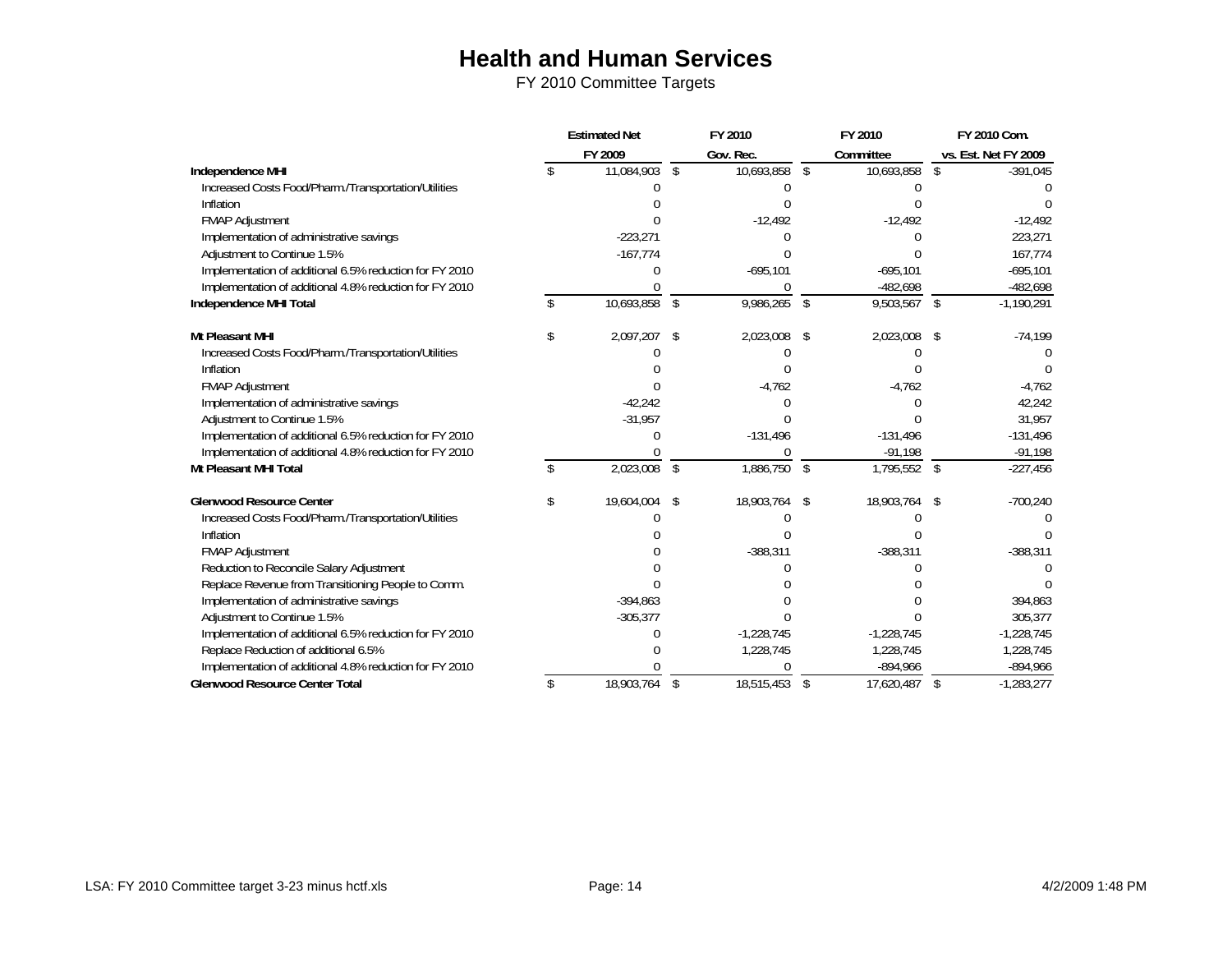|                                                         | <b>Estimated Net</b> |               | FY 2010    |              | FY 2010 |                | FY 2010 Com.       |                      |
|---------------------------------------------------------|----------------------|---------------|------------|--------------|---------|----------------|--------------------|----------------------|
|                                                         |                      | FY 2009       |            | Gov. Rec.    |         | Committee      |                    | vs. Est. Net FY 2009 |
| Independence MHI                                        |                      | 11,084,903    | $\sqrt{2}$ | 10,693,858   | \$      | 10,693,858     | \$                 | $-391,045$           |
| Increased Costs Food/Pharm./Transportation/Utilities    |                      |               |            |              |         |                |                    |                      |
| Inflation                                               |                      |               |            |              |         |                |                    |                      |
| <b>FMAP Adjustment</b>                                  |                      |               |            | $-12,492$    |         | $-12,492$      |                    | $-12,492$            |
| Implementation of administrative savings                |                      | $-223,271$    |            |              |         |                |                    | 223,271              |
| Adjustment to Continue 1.5%                             |                      | $-167,774$    |            |              |         |                |                    | 167,774              |
| Implementation of additional 6.5% reduction for FY 2010 |                      |               |            | $-695,101$   |         | $-695,101$     |                    | $-695,101$           |
| Implementation of additional 4.8% reduction for FY 2010 |                      |               |            |              |         | $-482,698$     |                    | $-482,698$           |
| Independence MHI Total                                  |                      | 10,693,858    | \$         | 9,986,265    | \$      | 9,503,567      | $\mathbf{\hat{S}}$ | $-1,190,291$         |
| Mt Pleasant MHI                                         |                      | 2,097,207 \$  |            | 2,023,008    | \$      | 2,023,008      | \$                 | $-74,199$            |
| Increased Costs Food/Pharm./Transportation/Utilities    |                      |               |            |              |         |                |                    |                      |
| Inflation                                               |                      |               |            |              |         |                |                    |                      |
| <b>FMAP Adjustment</b>                                  |                      |               |            | $-4,762$     |         | $-4,762$       |                    | $-4,762$             |
| Implementation of administrative savings                |                      | $-42,242$     |            |              |         |                |                    | 42,242               |
| Adjustment to Continue 1.5%                             |                      | $-31,957$     |            |              |         |                |                    | 31,957               |
| Implementation of additional 6.5% reduction for FY 2010 |                      |               |            | $-131,496$   |         | $-131,496$     |                    | $-131,496$           |
| Implementation of additional 4.8% reduction for FY 2010 |                      |               |            |              |         | $-91,198$      |                    | $-91,198$            |
| Mt Pleasant MHI Total                                   |                      | 2,023,008     | \$         | 1,886,750    | \$      | $1,795,552$ \$ |                    | $-227,456$           |
| <b>Glenwood Resource Center</b>                         | \$                   | 19,604,004 \$ |            | 18,903,764   | \$      | 18,903,764     | -\$                | $-700,240$           |
| Increased Costs Food/Pharm./Transportation/Utilities    |                      |               |            |              |         |                |                    |                      |
| Inflation                                               |                      |               |            |              |         |                |                    |                      |
| <b>FMAP Adjustment</b>                                  |                      |               |            | $-388,311$   |         | $-388,311$     |                    | $-388,311$           |
| Reduction to Reconcile Salary Adjustment                |                      |               |            |              |         |                |                    |                      |
| Replace Revenue from Transitioning People to Comm.      |                      |               |            |              |         |                |                    |                      |
| Implementation of administrative savings                |                      | $-394,863$    |            |              |         |                |                    | 394,863              |
| Adjustment to Continue 1.5%                             |                      | $-305,377$    |            |              |         |                |                    | 305,377              |
| Implementation of additional 6.5% reduction for FY 2010 |                      |               |            | $-1,228,745$ |         | $-1,228,745$   |                    | $-1,228,745$         |
| Replace Reduction of additional 6.5%                    |                      |               |            | 1,228,745    |         | 1,228,745      |                    | 1,228,745            |
| Implementation of additional 4.8% reduction for FY 2010 |                      |               |            |              |         | $-894,966$     |                    | $-894,966$           |
| <b>Glenwood Resource Center Total</b>                   |                      | 18,903,764    | \$         | 18,515,453   | \$      | 17,620,487     | $\mathbf{\hat{S}}$ | $-1,283,277$         |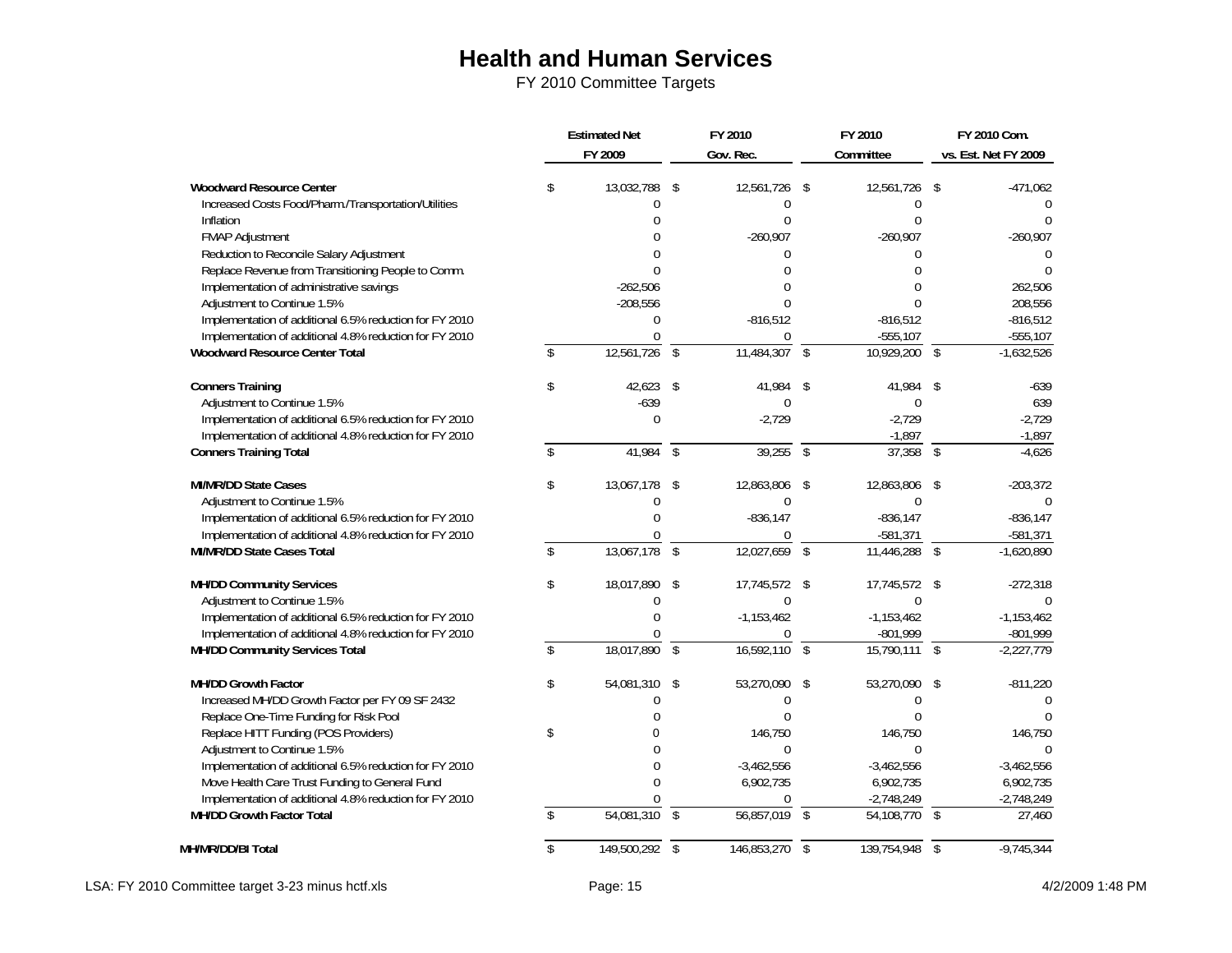|                                                                                                                       | <b>Estimated Net</b><br>FY 2009 |             | FY 2010<br>Gov. Rec. |               | FY 2010<br>Committee |                            | FY 2010 Com.<br>vs. Est. Net FY 2009 |              |
|-----------------------------------------------------------------------------------------------------------------------|---------------------------------|-------------|----------------------|---------------|----------------------|----------------------------|--------------------------------------|--------------|
| <b>Woodward Resource Center</b>                                                                                       | \$                              | 13,032,788  | \$                   | 12,561,726    | \$                   | 12,561,726                 | \$                                   | $-471,062$   |
| Increased Costs Food/Pharm./Transportation/Utilities                                                                  |                                 | $\Omega$    |                      | $\Omega$      |                      | 0                          |                                      | 0            |
| Inflation                                                                                                             |                                 | $\Omega$    |                      | $\Omega$      |                      |                            |                                      | $\Omega$     |
| <b>FMAP Adjustment</b>                                                                                                |                                 |             |                      | $-260,907$    |                      | $-260,907$                 |                                      | $-260,907$   |
| Reduction to Reconcile Salary Adjustment                                                                              |                                 | U           |                      | $\Omega$      |                      | 0                          |                                      |              |
| Replace Revenue from Transitioning People to Comm.                                                                    |                                 | $\Omega$    |                      | U             |                      | $\Omega$                   |                                      |              |
| Implementation of administrative savings                                                                              |                                 | $-262,506$  |                      |               |                      | $\Omega$                   |                                      | 262,506      |
| Adjustment to Continue 1.5%                                                                                           |                                 | $-208,556$  |                      |               |                      | U                          |                                      | 208,556      |
| Implementation of additional 6.5% reduction for FY 2010                                                               |                                 | $\Omega$    |                      | $-816,512$    |                      | $-816,512$                 |                                      | $-816,512$   |
| Implementation of additional 4.8% reduction for FY 2010                                                               |                                 | $\Omega$    |                      | $\Omega$      |                      | $-555,107$                 |                                      | $-555,107$   |
| <b>Woodward Resource Center Total</b>                                                                                 | \$                              | 12,561,726  | $\sqrt{2}$           | 11,484,307    | $\sqrt{2}$           | $10,929,200$ \$            |                                      | $-1,632,526$ |
| <b>Conners Training</b>                                                                                               | \$                              | 42,623      | \$                   | 41,984        | \$                   | 41,984                     | \$                                   | $-639$       |
| Adjustment to Continue 1.5%                                                                                           |                                 | $-639$      |                      | $\Omega$      |                      | 0                          |                                      | 639          |
| Implementation of additional 6.5% reduction for FY 2010                                                               |                                 | $\Omega$    |                      | $-2,729$      |                      | $-2,729$                   |                                      | $-2,729$     |
| Implementation of additional 4.8% reduction for FY 2010                                                               |                                 |             |                      |               |                      | $-1,897$                   |                                      | $-1,897$     |
| <b>Conners Training Total</b>                                                                                         | \$                              | 41,984      | $\sqrt{2}$           | 39,255        | $\mathcal{S}$        | $37,358$ \$                |                                      | $-4.626$     |
| <b>MI/MR/DD State Cases</b><br>Adjustment to Continue 1.5%<br>Implementation of additional 6.5% reduction for FY 2010 | \$                              | 13,067,178  | \$                   | 12,863,806    | \$                   | 12,863,806                 | \$                                   | $-203,372$   |
|                                                                                                                       |                                 | U           |                      | $\Omega$      |                      | $\Omega$                   |                                      | <sup>0</sup> |
|                                                                                                                       |                                 | 0           |                      | $-836,147$    |                      | $-836,147$                 |                                      | $-836, 147$  |
| Implementation of additional 4.8% reduction for FY 2010                                                               |                                 | 0           |                      | $\Omega$      |                      | $-581,371$                 |                                      | $-581,371$   |
| MI/MR/DD State Cases Total                                                                                            | \$                              | 13,067,178  | $\sqrt{2}$           | 12,027,659    | \$                   | $\overline{11,446,288}$ \$ |                                      | $-1,620,890$ |
| <b>MH/DD Community Services</b>                                                                                       | \$                              | 18,017,890  | \$                   | 17,745,572 \$ |                      | 17,745,572 \$              |                                      | $-272,318$   |
| Adjustment to Continue 1.5%                                                                                           |                                 | $\Omega$    |                      | $\mathbf{0}$  |                      | $\Omega$                   |                                      | 0            |
| Implementation of additional 6.5% reduction for FY 2010                                                               |                                 | $\Omega$    |                      | $-1,153,462$  |                      | $-1,153,462$               |                                      | $-1,153,462$ |
| Implementation of additional 4.8% reduction for FY 2010                                                               |                                 |             |                      | 0             |                      | $-801,999$                 |                                      | $-801,999$   |
| MH/DD Community Services Total                                                                                        | \$                              | 18,017,890  | \$                   | 16,592,110    | \$                   | 15,790,111                 | $\mathsf{\$}$                        | $-2,227,779$ |
| <b>MH/DD Growth Factor</b>                                                                                            | \$                              | 54,081,310  | \$                   | 53,270,090    | \$                   | 53,270,090                 | \$                                   | $-811,220$   |
| Increased MH/DD Growth Factor per FY 09 SF 2432                                                                       |                                 | $\Omega$    |                      | $\Omega$      |                      |                            |                                      | <sup>0</sup> |
| Replace One-Time Funding for Risk Pool                                                                                |                                 | $\Omega$    |                      | $\Omega$      |                      |                            |                                      |              |
| Replace HITT Funding (POS Providers)                                                                                  | \$                              | 0           |                      | 146,750       |                      | 146,750                    |                                      | 146,750      |
| Adjustment to Continue 1.5%                                                                                           |                                 |             |                      | $\theta$      |                      | $\Omega$                   |                                      | $\Omega$     |
| Implementation of additional 6.5% reduction for FY 2010                                                               |                                 | 0           |                      | $-3,462,556$  |                      | $-3,462,556$               |                                      | $-3,462,556$ |
| Move Health Care Trust Funding to General Fund                                                                        |                                 | $\Omega$    |                      | 6,902,735     |                      | 6,902,735                  |                                      | 6,902,735    |
| Implementation of additional 4.8% reduction for FY 2010                                                               |                                 | 0           |                      | $\Omega$      |                      | $-2,748,249$               |                                      | $-2,748,249$ |
| <b>MH/DD Growth Factor Total</b>                                                                                      |                                 | 54,081,310  | $\mathcal{L}$        | 56,857,019    | $\mathcal{S}$        | 54,108,770                 | \$                                   | 27,460       |
| MH/MR/DD/BI Total                                                                                                     |                                 | 149,500,292 | $\sqrt{2}$           | 146,853,270   | $\sqrt{2}$           | 139,754,948                | $\mathfrak{L}$                       | $-9,745,344$ |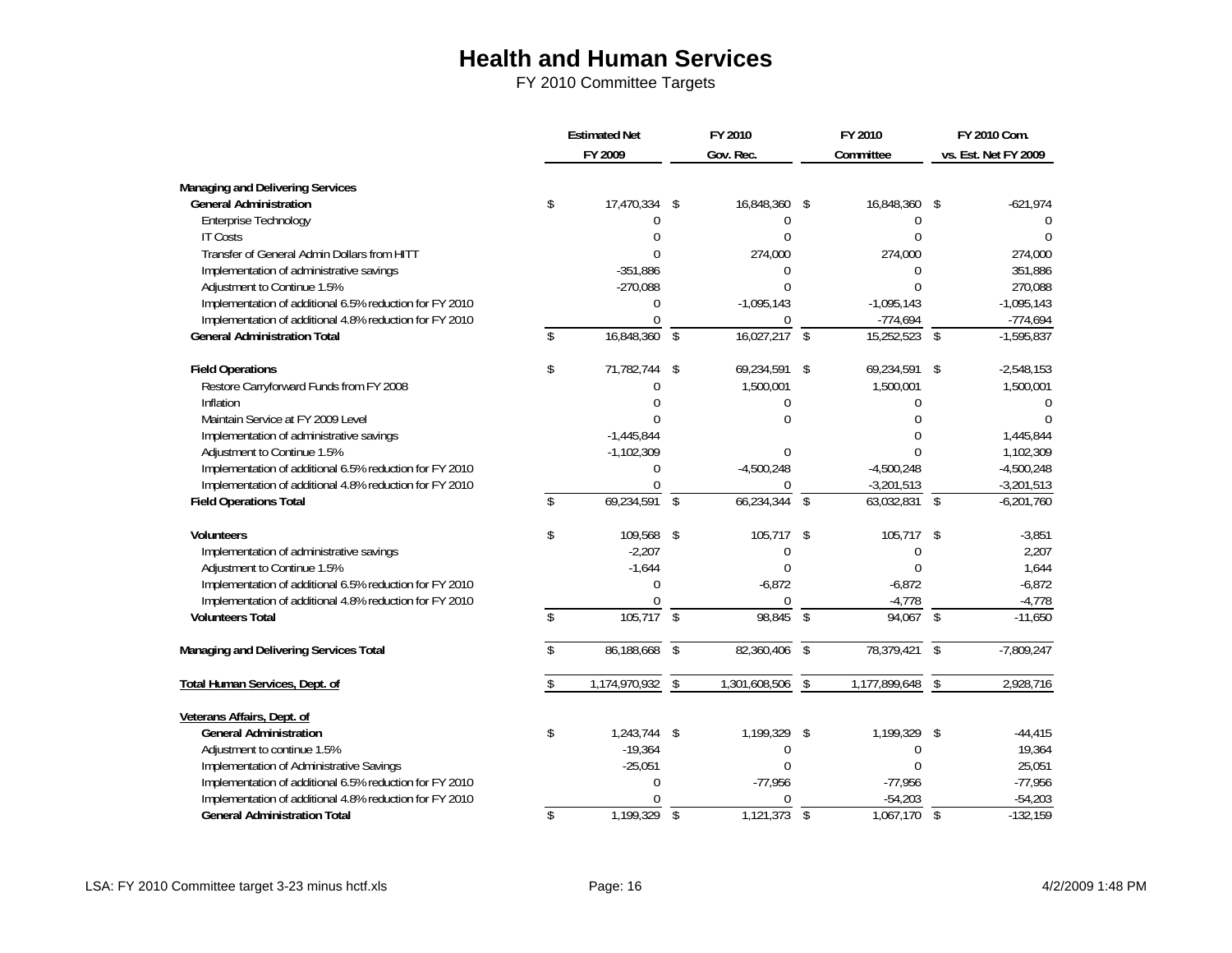|                                                         | <b>Estimated Net</b><br>FY 2009 |                          | FY 2010<br>Gov. Rec. |                          | FY 2010<br>Committee |               | FY 2010 Com.<br>vs. Est. Net FY 2009 |
|---------------------------------------------------------|---------------------------------|--------------------------|----------------------|--------------------------|----------------------|---------------|--------------------------------------|
| Managing and Delivering Services                        |                                 |                          |                      |                          |                      |               |                                      |
| <b>General Administration</b>                           | \$<br>17,470,334                | \$                       | 16,848,360           | - \$                     | 16,848,360 \$        |               | $-621,974$                           |
| Enterprise Technology                                   | $\Omega$                        |                          | $\mathbf 0$          |                          | 0                    |               | C                                    |
| <b>IT Costs</b>                                         | $\Omega$                        |                          | $\theta$             |                          | $\Omega$             |               | $\Omega$                             |
| Transfer of General Admin Dollars from HITT             | $\Omega$                        |                          | 274,000              |                          | 274,000              |               | 274,000                              |
| Implementation of administrative savings                | $-351,886$                      |                          | $\Omega$             |                          | 0                    |               | 351,886                              |
| Adjustment to Continue 1.5%                             | $-270,088$                      |                          | $\Omega$             |                          | 0                    |               | 270,088                              |
| Implementation of additional 6.5% reduction for FY 2010 | $\Omega$                        |                          | $-1,095,143$         |                          | $-1,095,143$         |               | $-1,095,143$                         |
| Implementation of additional 4.8% reduction for FY 2010 | $\Omega$                        |                          | $\Omega$             |                          | $-774,694$           |               | $-774,694$                           |
| <b>General Administration Total</b>                     | 16,848,360                      | \$                       | 16,027,217           | $\sqrt{2}$               | 15,252,523           | $\mathcal{S}$ | $-1,595,837$                         |
| <b>Field Operations</b>                                 | \$<br>71,782,744                | \$                       | 69,234,591           | -\$                      | 69,234,591 \$        |               | $-2,548,153$                         |
| Restore Carryforward Funds from FY 2008                 | $\Omega$                        |                          | 1,500,001            |                          | 1,500,001            |               | 1,500,001                            |
| Inflation                                               | $\Omega$                        |                          | $\Omega$             |                          | 0                    |               | O                                    |
| Maintain Service at FY 2009 Level                       |                                 |                          | ∩                    |                          | 0                    |               |                                      |
| Implementation of administrative savings                | $-1,445,844$                    |                          |                      |                          | 0                    |               | 1,445,844                            |
| Adjustment to Continue 1.5%                             | $-1,102,309$                    |                          | $\Omega$             |                          | 0                    |               | 1,102,309                            |
| Implementation of additional 6.5% reduction for FY 2010 | $\Omega$                        |                          | $-4,500,248$         |                          | $-4,500,248$         |               | $-4,500,248$                         |
| Implementation of additional 4.8% reduction for FY 2010 | 0                               |                          | $\Omega$             |                          | $-3,201,513$         |               | $-3,201,513$                         |
| <b>Field Operations Total</b>                           | \$<br>$69,234,591$ \$           |                          | 66,234,344           | $\overline{\mathcal{S}}$ | $63,032,831$ \$      |               | $-6,201,760$                         |
| <b>Volunteers</b>                                       | \$<br>109,568 \$                |                          | 105,717              | \$                       | 105,717 \$           |               | $-3,851$                             |
| Implementation of administrative savings                | $-2,207$                        |                          | $\mathbf 0$          |                          | 0                    |               | 2,207                                |
| Adjustment to Continue 1.5%                             | $-1,644$                        |                          | $\Omega$             |                          | 0                    |               | 1,644                                |
| Implementation of additional 6.5% reduction for FY 2010 | $\Omega$                        |                          | $-6,872$             |                          | $-6,872$             |               | $-6,872$                             |
| Implementation of additional 4.8% reduction for FY 2010 | $\Omega$                        |                          | $\Omega$             |                          | $-4,778$             |               | $-4,778$                             |
| <b>Volunteers Total</b>                                 | 105,717                         | $\overline{\mathcal{S}}$ | 98,845               | $\overline{\mathcal{S}}$ | $94,067$ \$          |               | $-11,650$                            |
| Managing and Delivering Services Total                  | 86,188,668                      | $\mathsf{\$}$            | 82,360,406           | $\overline{\mathcal{S}}$ | 78,379,421           | $\mathcal{S}$ | $-7,809,247$                         |
| <b>Total Human Services, Dept. of</b>                   | 1,174,970,932                   | \$                       | 1,301,608,506        | $\overline{\$}$          | 1,177,899,648        | $\mathcal{S}$ | 2,928,716                            |
| Veterans Affairs, Dept. of                              |                                 |                          |                      |                          |                      |               |                                      |
| <b>General Administration</b>                           | \$<br>1,243,744 \$              |                          | 1,199,329            | -\$                      | 1,199,329 \$         |               | $-44,415$                            |
| Adjustment to continue 1.5%                             | $-19,364$                       |                          | $\Omega$             |                          | 0                    |               | 19,364                               |
| Implementation of Administrative Savings                | $-25,051$                       |                          | $\theta$             |                          | $\Omega$             |               | 25,051                               |
| Implementation of additional 6.5% reduction for FY 2010 | $\Omega$                        |                          | $-77,956$            |                          | $-77,956$            |               | $-77,956$                            |
| Implementation of additional 4.8% reduction for FY 2010 |                                 |                          |                      |                          | $-54,203$            |               | $-54,203$                            |
| <b>General Administration Total</b>                     | \$<br>1,199,329                 | $\sqrt[6]{\frac{1}{2}}$  | 1,121,373            | $\sqrt{2}$               | 1,067,170            | $\sqrt[6]{3}$ | $-132,159$                           |